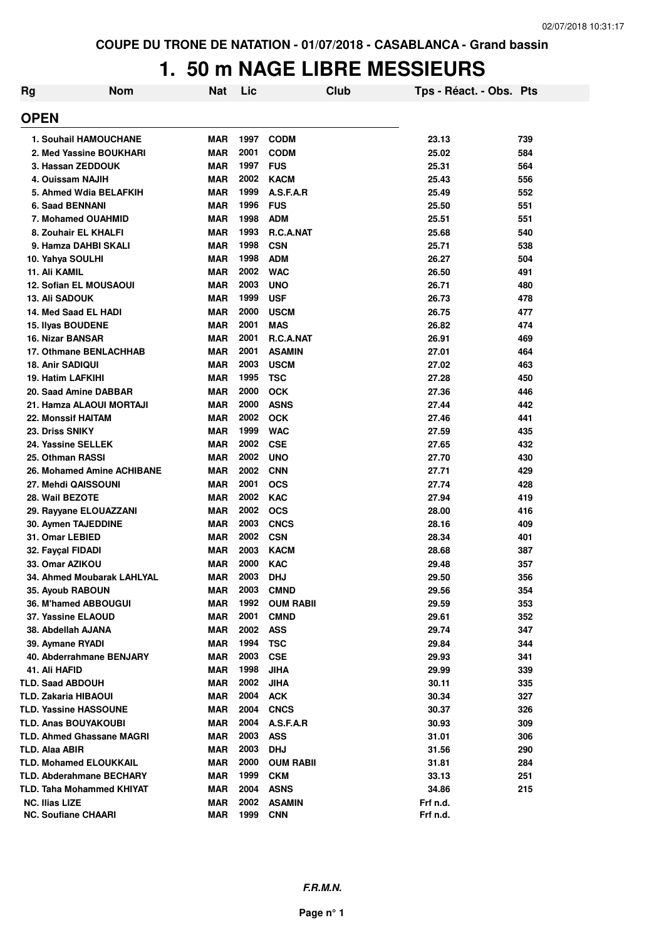#### **1. 50 m NAGE LIBRE MESSIEURS**

| <b>Rg</b>   | <b>Nom</b>                               | <b>Nat</b>               | Lic          | Club              | Tps - Réact. - Obs. Pts |            |
|-------------|------------------------------------------|--------------------------|--------------|-------------------|-------------------------|------------|
| <b>OPEN</b> |                                          |                          |              |                   |                         |            |
|             | <b>1. Souhail HAMOUCHANE</b>             | <b>MAR</b>               | 1997         | <b>CODM</b>       | 23.13                   | 739        |
|             | 2. Med Yassine BOUKHARI                  | <b>MAR</b>               | 2001         | <b>CODM</b>       | 25.02                   | 584        |
|             | 3. Hassan ZEDDOUK                        | <b>MAR</b>               | 1997         | <b>FUS</b>        | 25.31                   | 564        |
|             | 4. Ouissam NAJIH                         | <b>MAR</b>               | 2002         | <b>KACM</b>       | 25.43                   | 556        |
|             | 5. Ahmed Wdia BELAFKIH                   | <b>MAR</b>               | 1999         | A.S.F.A.R         | 25.49                   | 552        |
|             | 6. Saad BENNANI                          | <b>MAR</b>               | 1996         | <b>FUS</b>        | 25.50                   | 551        |
|             | 7. Mohamed OUAHMID                       | <b>MAR</b>               | 1998         | <b>ADM</b>        | 25.51                   | 551        |
|             | 8. Zouhair EL KHALFI                     | <b>MAR</b>               | 1993         | <b>R.C.A.NAT</b>  | 25.68                   | 540        |
|             | 9. Hamza DAHBI SKALI                     | <b>MAR</b>               | 1998         | <b>CSN</b>        | 25.71                   | 538        |
|             | 10. Yahya SOULHI                         | <b>MAR</b>               | 1998         | <b>ADM</b>        | 26.27                   | 504        |
|             | 11. Ali KAMIL                            | <b>MAR</b>               | 2002         | <b>WAC</b>        | 26.50                   | 491        |
|             | <b>12. Sofian EL MOUSAOUI</b>            | <b>MAR</b>               | 2003         | <b>UNO</b>        | 26.71                   | 480        |
|             | <b>13. Ali SADOUK</b>                    | <b>MAR</b>               | 1999         | <b>USF</b>        | 26.73                   | 478        |
|             | 14. Med Saad EL HADI                     | <b>MAR</b>               | 2000         | <b>USCM</b>       | 26.75                   | 477        |
|             | 15. Ilyas BOUDENE                        | <b>MAR</b>               | 2001         | <b>MAS</b>        | 26.82                   | 474        |
|             | <b>16. Nizar BANSAR</b>                  | <b>MAR</b>               | 2001         | R.C.A.NAT         | 26.91                   | 469        |
|             | 17. Othmane BENLACHHAB                   | <b>MAR</b>               | 2001         | <b>ASAMIN</b>     | 27.01                   | 464        |
|             | <b>18. Anir SADIQUI</b>                  | <b>MAR</b>               | 2003         | <b>USCM</b>       | 27.02                   | 463        |
|             | <b>19. Hatim LAFKIHI</b>                 | <b>MAR</b>               | 1995         | <b>TSC</b>        | 27.28                   | 450        |
|             | 20. Saad Amine DABBAR                    | <b>MAR</b>               | 2000         | <b>OCK</b>        | 27.36                   | 446        |
|             | 21. Hamza ALAOUI MORTAJI                 | <b>MAR</b>               | 2000         | <b>ASNS</b>       | 27.44                   | 442        |
|             | <b>22. Monssif HAITAM</b>                | <b>MAR</b>               | 2002         | <b>OCK</b>        | 27.46                   | 441        |
|             | 23. Driss SNIKY                          | <b>MAR</b>               | 1999         | <b>WAC</b>        | 27.59                   | 435        |
|             | 24. Yassine SELLEK                       | <b>MAR</b>               | 2002         | <b>CSE</b>        | 27.65                   | 432        |
|             | 25. Othman RASSI                         | <b>MAR</b>               | 2002         | <b>UNO</b>        | 27.70                   | 430        |
|             | 26. Mohamed Amine ACHIBANE               | <b>MAR</b>               | 2002         | <b>CNN</b>        | 27.71                   | 429        |
|             | <b>27. Mehdi QAISSOUNI</b>               | <b>MAR</b>               | 2001         | <b>OCS</b>        | 27.74                   | 428        |
|             | 28. Wail BEZOTE                          | <b>MAR</b>               | 2002         | <b>KAC</b>        | 27.94                   | 419        |
|             | 29. Rayyane ELOUAZZANI                   | <b>MAR</b>               | 2002         | <b>OCS</b>        | 28.00                   | 416        |
|             | 30. Aymen TAJEDDINE                      | <b>MAR</b>               | 2003         | <b>CNCS</b>       | 28.16                   | 409        |
|             | 31. Omar LEBIED                          | <b>MAR</b>               | 2002         | <b>CSN</b>        | 28.34                   | 401        |
|             | 32. Faycal FIDADI                        | MAR                      | 2003         | <b>KACM</b>       | 28.68                   | 387        |
|             | 33. Omar AZIKOU                          | <b>MAR</b>               | 2000         | <b>KAC</b>        | 29.48                   | 357        |
|             | 34. Ahmed Moubarak LAHLYAL               | <b>MAR</b>               | 2003         | <b>DHJ</b>        | 29.50                   | 356        |
|             | 35. Ayoub RABOUN                         | <b>MAR</b>               | 2003         | <b>CMND</b>       | 29.56                   | 354        |
|             | 36. M'hamed ABBOUGUI                     | <b>MAR</b>               | 1992<br>2001 | <b>OUM RABII</b>  | 29.59                   | 353        |
|             | 37. Yassine ELAOUD<br>38. Abdellah AJANA | <b>MAR</b>               | 2002         | <b>CMND</b>       | 29.61                   | 352        |
|             | 39. Aymane RYADI                         | <b>MAR</b><br><b>MAR</b> | 1994         | <b>ASS</b><br>TSC | 29.74<br>29.84          | 347<br>344 |
|             | 40. Abderrahmane BENJARY                 | <b>MAR</b>               | 2003         | <b>CSE</b>        | 29.93                   | 341        |
|             | 41. Ali HAFID                            | <b>MAR</b>               | 1998         | <b>JIHA</b>       | 29.99                   | 339        |
|             | <b>TLD. Saad ABDOUH</b>                  | <b>MAR</b>               | 2002         | <b>JIHA</b>       | 30.11                   | 335        |
|             | <b>TLD. Zakaria HIBAOUI</b>              | <b>MAR</b>               | 2004         | <b>ACK</b>        | 30.34                   | 327        |
|             | <b>TLD. Yassine HASSOUNE</b>             | <b>MAR</b>               | 2004         | <b>CNCS</b>       | 30.37                   | 326        |
|             | <b>TLD. Anas BOUYAKOUBI</b>              | <b>MAR</b>               | 2004         | A.S.F.A.R         | 30.93                   | 309        |
|             | <b>TLD. Ahmed Ghassane MAGRI</b>         | <b>MAR</b>               | 2003         | <b>ASS</b>        | 31.01                   | 306        |
|             | TLD. Alaa ABIR                           | <b>MAR</b>               | 2003         | <b>DHJ</b>        | 31.56                   | 290        |
|             | <b>TLD. Mohamed ELOUKKAIL</b>            | MAR                      | 2000         | <b>OUM RABII</b>  | 31.81                   | 284        |
|             | <b>TLD. Abderahmane BECHARY</b>          | <b>MAR</b>               | 1999         | <b>CKM</b>        | 33.13                   | 251        |
|             | TLD. Taha Mohammed KHIYAT                | <b>MAR</b>               | 2004         | <b>ASNS</b>       | 34.86                   | 215        |
|             | <b>NC. Ilias LIZE</b>                    | MAR                      | 2002         | <b>ASAMIN</b>     | Frf n.d.                |            |
|             | <b>NC. Soufiane CHAARI</b>               | MAR                      | 1999         | <b>CNN</b>        | Frf n.d.                |            |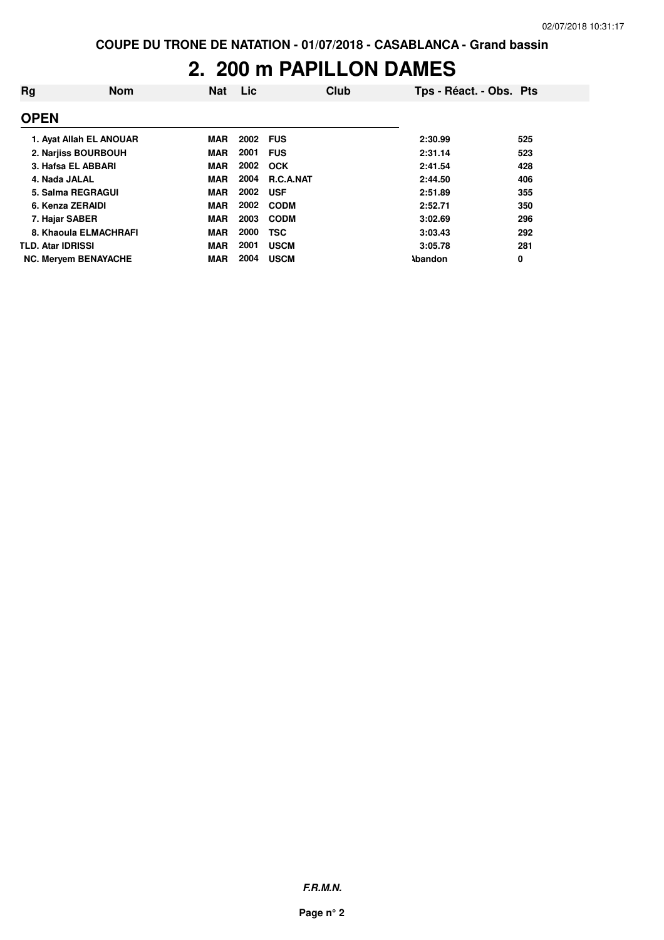#### **2. 200 m PAPILLON DAMES**

| Rg                       | <b>Nom</b>                  | <b>Nat</b> | <b>Lic</b> |             | Club | Tps - Réact. - Obs. Pts |     |
|--------------------------|-----------------------------|------------|------------|-------------|------|-------------------------|-----|
| <b>OPEN</b>              |                             |            |            |             |      |                         |     |
|                          | 1. Avat Allah EL ANOUAR     | <b>MAR</b> | 2002       | <b>FUS</b>  |      | 2:30.99                 | 525 |
|                          | 2. Narjiss BOURBOUH         | <b>MAR</b> | 2001       | <b>FUS</b>  |      | 2:31.14                 | 523 |
|                          | 3. Hafsa EL ABBARI          | <b>MAR</b> | 2002       | <b>OCK</b>  |      | 2:41.54                 | 428 |
|                          | 4. Nada JALAL               | <b>MAR</b> | 2004       | R.C.A.NAT   |      | 2:44.50                 | 406 |
|                          | 5. Salma REGRAGUI           | <b>MAR</b> | 2002       | <b>USF</b>  |      | 2:51.89                 | 355 |
|                          | 6. Kenza ZERAIDI            | <b>MAR</b> | 2002       | <b>CODM</b> |      | 2:52.71                 | 350 |
|                          | 7. Hajar SABER              | <b>MAR</b> | 2003       | <b>CODM</b> |      | 3:02.69                 | 296 |
|                          | 8. Khaoula ELMACHRAFI       | <b>MAR</b> | 2000       | <b>TSC</b>  |      | 3:03.43                 | 292 |
| <b>TLD. Atar IDRISSI</b> |                             | <b>MAR</b> | 2001       | <b>USCM</b> |      | 3:05.78                 | 281 |
|                          | <b>NC. Mervem BENAYACHE</b> | <b>MAR</b> | 2004       | <b>USCM</b> |      | <b>Abandon</b>          | 0   |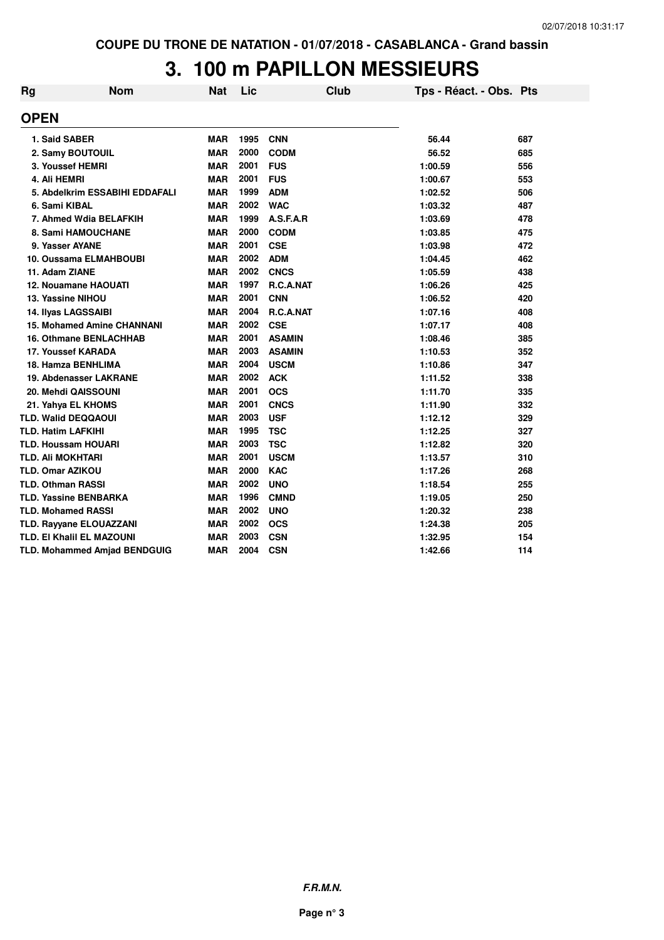# **3. 100 m PAPILLON MESSIEURS**

| Rg | <b>Nom</b>                        | Nat        | Lic  | Club          | Tps - Réact. - Obs. Pts |     |
|----|-----------------------------------|------------|------|---------------|-------------------------|-----|
|    | <b>OPEN</b>                       |            |      |               |                         |     |
|    | 1. Said SABER                     | <b>MAR</b> | 1995 | <b>CNN</b>    | 56.44                   | 687 |
|    | 2. Samy BOUTOUIL                  | <b>MAR</b> | 2000 | <b>CODM</b>   | 56.52                   | 685 |
|    | 3. Youssef HEMRI                  | <b>MAR</b> | 2001 | <b>FUS</b>    | 1:00.59                 | 556 |
|    | 4. Ali HEMRI                      | <b>MAR</b> | 2001 | <b>FUS</b>    | 1:00.67                 | 553 |
|    | 5. Abdelkrim ESSABIHI EDDAFALI    | <b>MAR</b> | 1999 | <b>ADM</b>    | 1:02.52                 | 506 |
|    | 6. Sami KIBAL                     | <b>MAR</b> | 2002 | <b>WAC</b>    | 1:03.32                 | 487 |
|    | 7. Ahmed Wdia BELAFKIH            | <b>MAR</b> | 1999 | A.S.F.A.R     | 1:03.69                 | 478 |
|    | 8. Sami HAMOUCHANE                | <b>MAR</b> | 2000 | <b>CODM</b>   | 1:03.85                 | 475 |
|    | 9. Yasser AYANE                   | <b>MAR</b> | 2001 | <b>CSE</b>    | 1:03.98                 | 472 |
|    | 10. Oussama ELMAHBOUBI            | <b>MAR</b> | 2002 | <b>ADM</b>    | 1:04.45                 | 462 |
|    | 11. Adam ZIANE                    | <b>MAR</b> | 2002 | <b>CNCS</b>   | 1:05.59                 | 438 |
|    | <b>12. Nouamane HAOUATI</b>       | <b>MAR</b> | 1997 | R.C.A.NAT     | 1:06.26                 | 425 |
|    | 13. Yassine NIHOU                 | <b>MAR</b> | 2001 | <b>CNN</b>    | 1:06.52                 | 420 |
|    | 14. Ilyas LAGSSAIBI               | <b>MAR</b> | 2004 | R.C.A.NAT     | 1:07.16                 | 408 |
|    | <b>15. Mohamed Amine CHANNANI</b> | <b>MAR</b> | 2002 | <b>CSE</b>    | 1:07.17                 | 408 |
|    | <b>16. Othmane BENLACHHAB</b>     | <b>MAR</b> | 2001 | <b>ASAMIN</b> | 1:08.46                 | 385 |
|    | 17. Youssef KARADA                | <b>MAR</b> | 2003 | <b>ASAMIN</b> | 1:10.53                 | 352 |
|    | 18. Hamza BENHLIMA                | <b>MAR</b> | 2004 | <b>USCM</b>   | 1:10.86                 | 347 |
|    | 19. Abdenasser LAKRANE            | <b>MAR</b> | 2002 | <b>ACK</b>    | 1:11.52                 | 338 |
|    | 20. Mehdi QAISSOUNI               | <b>MAR</b> | 2001 | <b>OCS</b>    | 1:11.70                 | 335 |
|    | 21. Yahya EL KHOMS                | <b>MAR</b> | 2001 | <b>CNCS</b>   | 1:11.90                 | 332 |
|    | TLD. Walid DEQQAOUI               | <b>MAR</b> | 2003 | <b>USF</b>    | 1:12.12                 | 329 |
|    | <b>TLD. Hatim LAFKIHI</b>         | <b>MAR</b> | 1995 | <b>TSC</b>    | 1:12.25                 | 327 |
|    | <b>TLD. Houssam HOUARI</b>        | <b>MAR</b> | 2003 | <b>TSC</b>    | 1:12.82                 | 320 |
|    | <b>TLD. Ali MOKHTARI</b>          | <b>MAR</b> | 2001 | <b>USCM</b>   | 1:13.57                 | 310 |
|    | <b>TLD. Omar AZIKOU</b>           | <b>MAR</b> | 2000 | <b>KAC</b>    | 1:17.26                 | 268 |
|    | <b>TLD. Othman RASSI</b>          | <b>MAR</b> | 2002 | <b>UNO</b>    | 1:18.54                 | 255 |
|    | <b>TLD. Yassine BENBARKA</b>      | <b>MAR</b> | 1996 | <b>CMND</b>   | 1:19.05                 | 250 |
|    | <b>TLD. Mohamed RASSI</b>         | <b>MAR</b> | 2002 | <b>UNO</b>    | 1:20.32                 | 238 |
|    | <b>TLD. Rayyane ELOUAZZANI</b>    | <b>MAR</b> | 2002 | <b>OCS</b>    | 1:24.38                 | 205 |
|    | TLD. EI Khalil EL MAZOUNI         | <b>MAR</b> | 2003 | <b>CSN</b>    | 1:32.95                 | 154 |
|    | TLD. Mohammed Amjad BENDGUIG      | <b>MAR</b> | 2004 | <b>CSN</b>    | 1:42.66                 | 114 |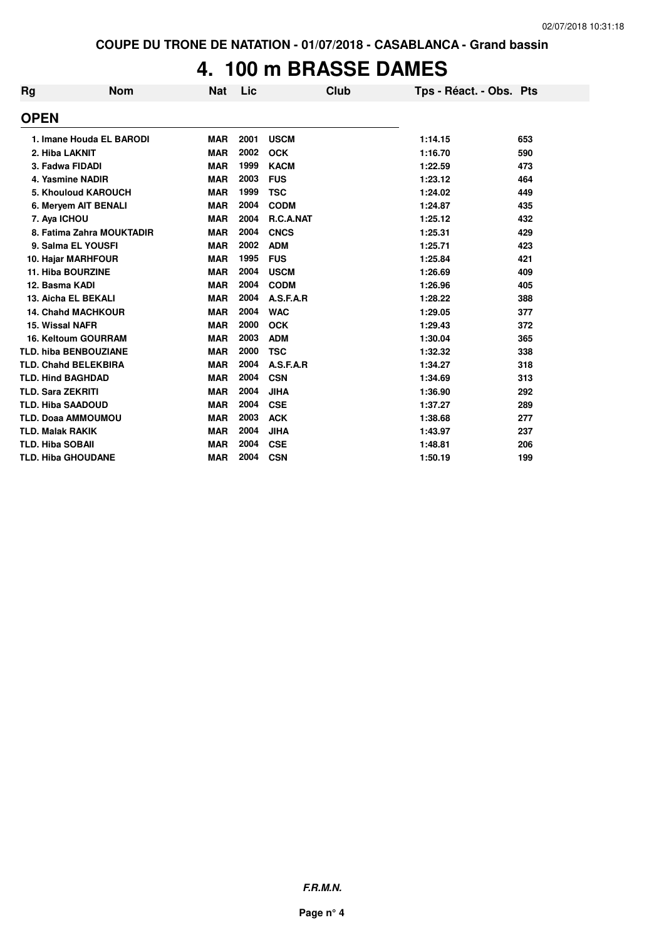#### **4. 100 m BRASSE DAMES**

| <b>Rg</b> | <b>Nom</b>                   | <b>Nat</b> | Lic  | <b>Club</b> | Tps - Réact. - Obs. Pts |     |
|-----------|------------------------------|------------|------|-------------|-------------------------|-----|
|           | <b>OPEN</b>                  |            |      |             |                         |     |
|           | 1. Imane Houda EL BARODI     | <b>MAR</b> | 2001 | <b>USCM</b> | 1:14.15                 | 653 |
|           | 2. Hiba LAKNIT               | <b>MAR</b> | 2002 | <b>OCK</b>  | 1:16.70                 | 590 |
|           | 3. Fadwa FIDADI              | <b>MAR</b> | 1999 | <b>KACM</b> | 1:22.59                 | 473 |
|           | 4. Yasmine NADIR             | <b>MAR</b> | 2003 | <b>FUS</b>  | 1:23.12                 | 464 |
|           | 5. Khouloud KAROUCH          | <b>MAR</b> | 1999 | <b>TSC</b>  | 1:24.02                 | 449 |
|           | 6. Meryem AIT BENALI         | <b>MAR</b> | 2004 | <b>CODM</b> | 1:24.87                 | 435 |
|           | 7. Aya ICHOU                 | <b>MAR</b> | 2004 | R.C.A.NAT   | 1:25.12                 | 432 |
|           | 8. Fatima Zahra MOUKTADIR    | <b>MAR</b> | 2004 | <b>CNCS</b> | 1:25.31                 | 429 |
|           | 9. Salma EL YOUSFI           | <b>MAR</b> | 2002 | <b>ADM</b>  | 1:25.71                 | 423 |
|           | 10. Hajar MARHFOUR           | <b>MAR</b> | 1995 | <b>FUS</b>  | 1:25.84                 | 421 |
|           | <b>11. Hiba BOURZINE</b>     | <b>MAR</b> | 2004 | <b>USCM</b> | 1:26.69                 | 409 |
|           | 12. Basma KADI               | <b>MAR</b> | 2004 | <b>CODM</b> | 1:26.96                 | 405 |
|           | 13. Aicha EL BEKALI          | <b>MAR</b> | 2004 | A.S.F.A.R   | 1:28.22                 | 388 |
|           | <b>14. Chahd MACHKOUR</b>    | <b>MAR</b> | 2004 | <b>WAC</b>  | 1:29.05                 | 377 |
|           | 15. Wissal NAFR              | <b>MAR</b> | 2000 | <b>OCK</b>  | 1:29.43                 | 372 |
|           | <b>16. Keltoum GOURRAM</b>   | <b>MAR</b> | 2003 | <b>ADM</b>  | 1:30.04                 | 365 |
|           | <b>TLD. hiba BENBOUZIANE</b> | <b>MAR</b> | 2000 | <b>TSC</b>  | 1:32.32                 | 338 |
|           | <b>TLD. Chahd BELEKBIRA</b>  | <b>MAR</b> | 2004 | A.S.F.A.R   | 1:34.27                 | 318 |
|           | <b>TLD. Hind BAGHDAD</b>     | <b>MAR</b> | 2004 | <b>CSN</b>  | 1:34.69                 | 313 |
|           | <b>TLD. Sara ZEKRITI</b>     | <b>MAR</b> | 2004 | <b>JIHA</b> | 1:36.90                 | 292 |
|           | <b>TLD. Hiba SAADOUD</b>     | <b>MAR</b> | 2004 | <b>CSE</b>  | 1:37.27                 | 289 |
|           | <b>TLD. Doaa AMMOUMOU</b>    | <b>MAR</b> | 2003 | <b>ACK</b>  | 1:38.68                 | 277 |
|           | <b>TLD. Malak RAKIK</b>      | <b>MAR</b> | 2004 | <b>JIHA</b> | 1:43.97                 | 237 |
|           | <b>TLD. Hiba SOBAII</b>      | <b>MAR</b> | 2004 | <b>CSE</b>  | 1:48.81                 | 206 |
|           | <b>TLD. Hiba GHOUDANE</b>    | <b>MAR</b> | 2004 | <b>CSN</b>  | 1:50.19                 | 199 |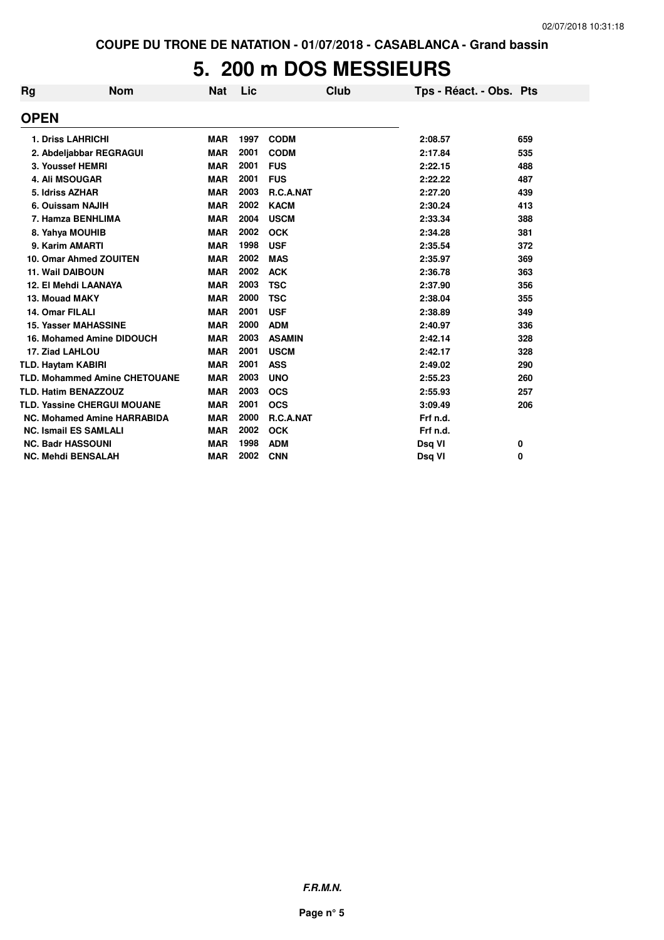# **5. 200 m DOS MESSIEURS**

| Rg                        | <b>Nom</b>                           | <b>Nat</b> | Lic  | Club          | Tps - Réact. - Obs. Pts |     |
|---------------------------|--------------------------------------|------------|------|---------------|-------------------------|-----|
| <b>OPEN</b>               |                                      |            |      |               |                         |     |
|                           | <b>1. Driss LAHRICHI</b>             | <b>MAR</b> | 1997 | <b>CODM</b>   | 2:08.57                 | 659 |
|                           | 2. Abdeljabbar REGRAGUI              | <b>MAR</b> | 2001 | <b>CODM</b>   | 2:17.84                 | 535 |
|                           | 3. Youssef HEMRI                     | <b>MAR</b> | 2001 | <b>FUS</b>    | 2:22.15                 | 488 |
|                           | <b>4. Ali MSOUGAR</b>                | <b>MAR</b> | 2001 | <b>FUS</b>    | 2:22.22                 | 487 |
| 5. Idriss AZHAR           |                                      | <b>MAR</b> | 2003 | R.C.A.NAT     | 2:27.20                 | 439 |
|                           | 6. Ouissam NAJIH                     | <b>MAR</b> | 2002 | <b>KACM</b>   | 2:30.24                 | 413 |
|                           | 7. Hamza BENHLIMA                    | <b>MAR</b> | 2004 | <b>USCM</b>   | 2:33.34                 | 388 |
|                           | 8. Yahya MOUHIB                      | <b>MAR</b> | 2002 | <b>OCK</b>    | 2:34.28                 | 381 |
|                           | 9. Karim AMARTI                      | <b>MAR</b> | 1998 | <b>USF</b>    | 2:35.54                 | 372 |
|                           | 10. Omar Ahmed ZOUITEN               | <b>MAR</b> | 2002 | <b>MAS</b>    | 2:35.97                 | 369 |
| <b>11. Wail DAIBOUN</b>   |                                      | <b>MAR</b> | 2002 | <b>ACK</b>    | 2:36.78                 | 363 |
|                           | 12. El Mehdi LAANAYA                 | <b>MAR</b> | 2003 | <b>TSC</b>    | 2:37.90                 | 356 |
| 13. Mouad MAKY            |                                      | <b>MAR</b> | 2000 | <b>TSC</b>    | 2:38.04                 | 355 |
| 14. Omar FILALI           |                                      | <b>MAR</b> | 2001 | <b>USF</b>    | 2:38.89                 | 349 |
|                           | <b>15. Yasser MAHASSINE</b>          | <b>MAR</b> | 2000 | <b>ADM</b>    | 2:40.97                 | 336 |
|                           | 16. Mohamed Amine DIDOUCH            | <b>MAR</b> | 2003 | <b>ASAMIN</b> | 2:42.14                 | 328 |
| 17. Ziad LAHLOU           |                                      | <b>MAR</b> | 2001 | <b>USCM</b>   | 2:42.17                 | 328 |
| <b>TLD. Haytam KABIRI</b> |                                      | <b>MAR</b> | 2001 | <b>ASS</b>    | 2:49.02                 | 290 |
|                           | <b>TLD. Mohammed Amine CHETOUANE</b> | <b>MAR</b> | 2003 | <b>UNO</b>    | 2:55.23                 | 260 |
|                           | <b>TLD. Hatim BENAZZOUZ</b>          | <b>MAR</b> | 2003 | <b>OCS</b>    | 2:55.93                 | 257 |
|                           | <b>TLD. Yassine CHERGUI MOUANE</b>   | <b>MAR</b> | 2001 | <b>OCS</b>    | 3:09.49                 | 206 |
|                           | <b>NC. Mohamed Amine HARRABIDA</b>   | <b>MAR</b> | 2000 | R.C.A.NAT     | Frf n.d.                |     |
|                           | <b>NC. Ismail ES SAMLALI</b>         | <b>MAR</b> | 2002 | <b>OCK</b>    | Frf n.d.                |     |
|                           | <b>NC. Badr HASSOUNI</b>             | <b>MAR</b> | 1998 | <b>ADM</b>    | Dsq VI                  | 0   |
|                           | <b>NC. Mehdi BENSALAH</b>            | <b>MAR</b> | 2002 | <b>CNN</b>    | Dsg VI                  | 0   |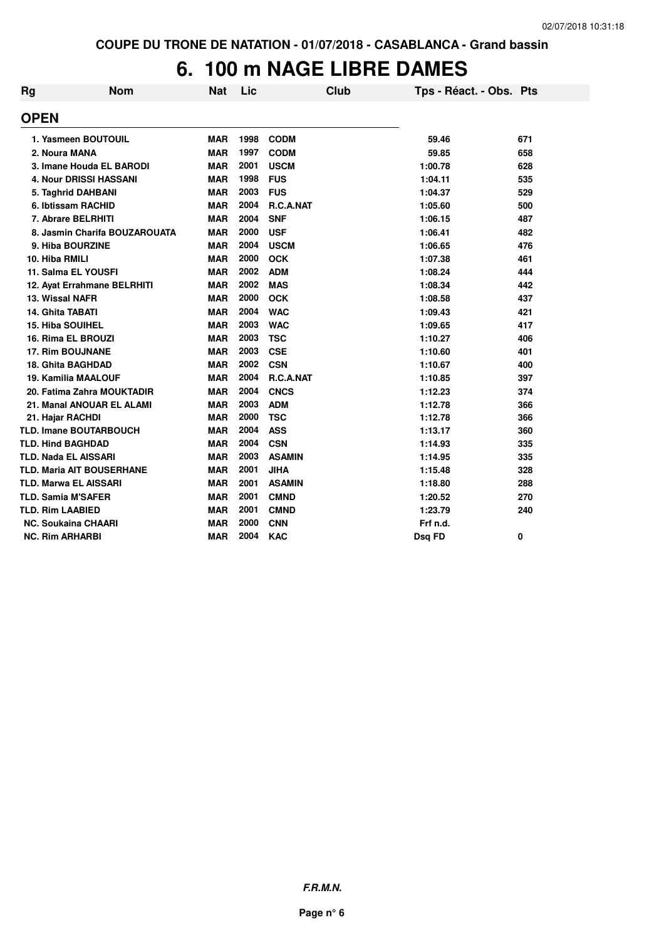# **6. 100 m NAGE LIBRE DAMES**

| <b>Rg</b> | <b>Nom</b>                       | <b>Nat</b> | Lic  | <b>Club</b>   | Tps - Réact. - Obs. Pts |     |
|-----------|----------------------------------|------------|------|---------------|-------------------------|-----|
|           | <b>OPEN</b>                      |            |      |               |                         |     |
|           | 1. Yasmeen BOUTOUIL              | <b>MAR</b> | 1998 | <b>CODM</b>   | 59.46                   | 671 |
|           | 2. Noura MANA                    | <b>MAR</b> | 1997 | <b>CODM</b>   | 59.85                   | 658 |
|           | 3. Imane Houda EL BARODI         | <b>MAR</b> | 2001 | <b>USCM</b>   | 1:00.78                 | 628 |
|           | <b>4. Nour DRISSI HASSANI</b>    | <b>MAR</b> | 1998 | <b>FUS</b>    | 1:04.11                 | 535 |
|           | 5. Taghrid DAHBANI               | <b>MAR</b> | 2003 | <b>FUS</b>    | 1:04.37                 | 529 |
|           | 6. Ibtissam RACHID               | <b>MAR</b> | 2004 | R.C.A.NAT     | 1:05.60                 | 500 |
|           | 7. Abrare BELRHITI               | <b>MAR</b> | 2004 | <b>SNF</b>    | 1:06.15                 | 487 |
|           | 8. Jasmin Charifa BOUZAROUATA    | <b>MAR</b> | 2000 | <b>USF</b>    | 1:06.41                 | 482 |
|           | 9. Hiba BOURZINE                 | <b>MAR</b> | 2004 | <b>USCM</b>   | 1:06.65                 | 476 |
|           | 10. Hiba RMILI                   | <b>MAR</b> | 2000 | <b>OCK</b>    | 1:07.38                 | 461 |
|           | 11. Salma EL YOUSFI              | <b>MAR</b> | 2002 | <b>ADM</b>    | 1:08.24                 | 444 |
|           | 12. Ayat Errahmane BELRHITI      | <b>MAR</b> | 2002 | <b>MAS</b>    | 1:08.34                 | 442 |
|           | 13. Wissal NAFR                  | <b>MAR</b> | 2000 | <b>OCK</b>    | 1:08.58                 | 437 |
|           | <b>14. Ghita TABATI</b>          | <b>MAR</b> | 2004 | <b>WAC</b>    | 1:09.43                 | 421 |
|           | <b>15. Hiba SOUIHEL</b>          | <b>MAR</b> | 2003 | <b>WAC</b>    | 1:09.65                 | 417 |
|           | 16. Rima EL BROUZI               | <b>MAR</b> | 2003 | <b>TSC</b>    | 1:10.27                 | 406 |
|           | <b>17. Rim BOUJNANE</b>          | <b>MAR</b> | 2003 | <b>CSE</b>    | 1:10.60                 | 401 |
|           | <b>18. Ghita BAGHDAD</b>         | <b>MAR</b> | 2002 | <b>CSN</b>    | 1:10.67                 | 400 |
|           | <b>19. Kamilia MAALOUF</b>       | <b>MAR</b> | 2004 | R.C.A.NAT     | 1:10.85                 | 397 |
|           | 20. Fatima Zahra MOUKTADIR       | <b>MAR</b> | 2004 | <b>CNCS</b>   | 1:12.23                 | 374 |
|           | 21. Manal ANOUAR EL ALAMI        | <b>MAR</b> | 2003 | <b>ADM</b>    | 1:12.78                 | 366 |
|           | 21. Hajar RACHDI                 | <b>MAR</b> | 2000 | <b>TSC</b>    | 1:12.78                 | 366 |
|           | <b>TLD. Imane BOUTARBOUCH</b>    | <b>MAR</b> | 2004 | <b>ASS</b>    | 1:13.17                 | 360 |
|           | <b>TLD. Hind BAGHDAD</b>         | <b>MAR</b> | 2004 | <b>CSN</b>    | 1:14.93                 | 335 |
|           | TLD. Nada EL AISSARI             | <b>MAR</b> | 2003 | <b>ASAMIN</b> | 1:14.95                 | 335 |
|           | <b>TLD. Maria AIT BOUSERHANE</b> | <b>MAR</b> | 2001 | <b>JIHA</b>   | 1:15.48                 | 328 |
|           | <b>TLD. Marwa EL AISSARI</b>     | <b>MAR</b> | 2001 | <b>ASAMIN</b> | 1:18.80                 | 288 |
|           | <b>TLD. Samia M'SAFER</b>        | <b>MAR</b> | 2001 | <b>CMND</b>   | 1:20.52                 | 270 |
|           | <b>TLD. Rim LAABIED</b>          | <b>MAR</b> | 2001 | <b>CMND</b>   | 1:23.79                 | 240 |
|           | <b>NC. Soukaina CHAARI</b>       | <b>MAR</b> | 2000 | <b>CNN</b>    | Frf n.d.                |     |
|           | <b>NC. Rim ARHARBI</b>           | <b>MAR</b> | 2004 | <b>KAC</b>    | Dsq FD                  | 0   |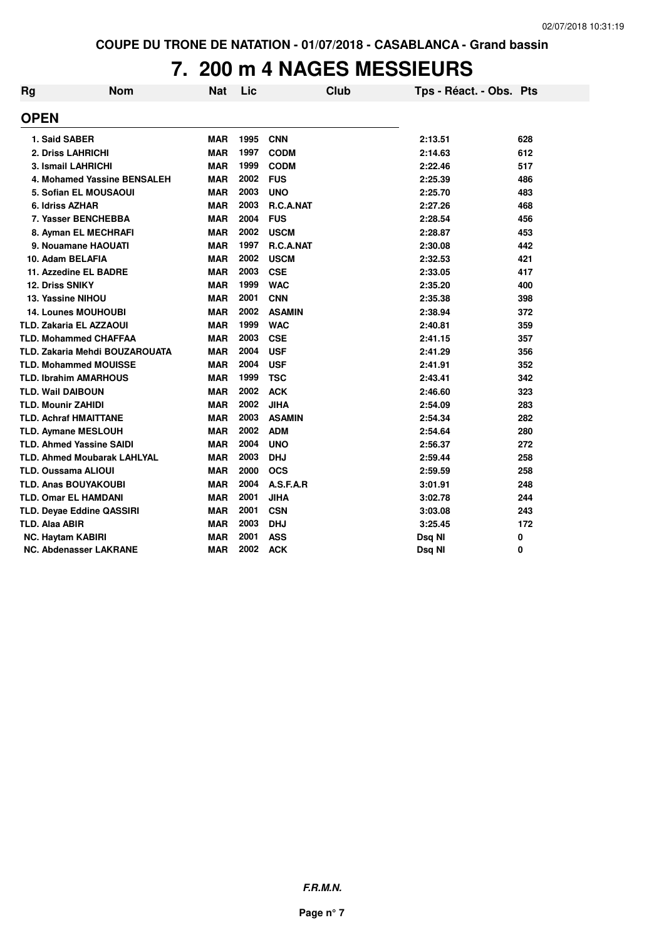# **7. 200 m 4 NAGES MESSIEURS**

| Rg                         | <b>Nom</b>                            | <b>Nat</b> | Lic  | <b>Club</b>      | Tps - Réact. - Obs. Pts |     |
|----------------------------|---------------------------------------|------------|------|------------------|-------------------------|-----|
| <b>OPEN</b>                |                                       |            |      |                  |                         |     |
| 1. Said SABER              |                                       | <b>MAR</b> | 1995 | <b>CNN</b>       | 2:13.51                 | 628 |
|                            | 2. Driss LAHRICHI                     | <b>MAR</b> | 1997 | <b>CODM</b>      | 2:14.63                 | 612 |
|                            | 3. Ismail LAHRICHI                    | <b>MAR</b> | 1999 | <b>CODM</b>      | 2:22.46                 | 517 |
|                            | 4. Mohamed Yassine BENSALEH           | <b>MAR</b> | 2002 | <b>FUS</b>       | 2:25.39                 | 486 |
|                            | 5. Sofian EL MOUSAOUI                 | <b>MAR</b> | 2003 | <b>UNO</b>       | 2:25.70                 | 483 |
| 6. Idriss AZHAR            |                                       | <b>MAR</b> | 2003 | R.C.A.NAT        | 2:27.26                 | 468 |
|                            | 7. Yasser BENCHEBBA                   | <b>MAR</b> | 2004 | <b>FUS</b>       | 2:28.54                 | 456 |
|                            | 8. Ayman EL MECHRAFI                  | <b>MAR</b> | 2002 | <b>USCM</b>      | 2:28.87                 | 453 |
|                            | 9. Nouamane HAOUATI                   | <b>MAR</b> | 1997 | <b>R.C.A.NAT</b> | 2:30.08                 | 442 |
| 10. Adam BELAFIA           |                                       | <b>MAR</b> | 2002 | <b>USCM</b>      | 2:32.53                 | 421 |
|                            | 11. Azzedine EL BADRE                 | <b>MAR</b> | 2003 | <b>CSE</b>       | 2:33.05                 | 417 |
| 12. Driss SNIKY            |                                       | <b>MAR</b> | 1999 | <b>WAC</b>       | 2:35.20                 | 400 |
| 13. Yassine NIHOU          |                                       | <b>MAR</b> | 2001 | <b>CNN</b>       | 2:35.38                 | 398 |
|                            | <b>14. Lounes MOUHOUBI</b>            | <b>MAR</b> | 2002 | <b>ASAMIN</b>    | 2:38.94                 | 372 |
|                            | <b>TLD. Zakaria EL AZZAOUI</b>        | <b>MAR</b> | 1999 | <b>WAC</b>       | 2:40.81                 | 359 |
|                            | <b>TLD. Mohammed CHAFFAA</b>          | <b>MAR</b> | 2003 | <b>CSE</b>       | 2:41.15                 | 357 |
|                            | <b>TLD. Zakaria Mehdi BOUZAROUATA</b> | <b>MAR</b> | 2004 | <b>USF</b>       | 2:41.29                 | 356 |
|                            | <b>TLD. Mohammed MOUISSE</b>          | <b>MAR</b> | 2004 | <b>USF</b>       | 2:41.91                 | 352 |
|                            | <b>TLD. Ibrahim AMARHOUS</b>          | <b>MAR</b> | 1999 | <b>TSC</b>       | 2:43.41                 | 342 |
| <b>TLD. Wail DAIBOUN</b>   |                                       | <b>MAR</b> | 2002 | <b>ACK</b>       | 2:46.60                 | 323 |
| <b>TLD. Mounir ZAHIDI</b>  |                                       | <b>MAR</b> | 2002 | <b>JIHA</b>      | 2:54.09                 | 283 |
|                            | <b>TLD. Achraf HMAITTANE</b>          | <b>MAR</b> | 2003 | <b>ASAMIN</b>    | 2:54.34                 | 282 |
|                            | <b>TLD. Aymane MESLOUH</b>            | <b>MAR</b> | 2002 | <b>ADM</b>       | 2:54.64                 | 280 |
|                            | <b>TLD. Ahmed Yassine SAIDI</b>       | <b>MAR</b> | 2004 | <b>UNO</b>       | 2:56.37                 | 272 |
|                            | <b>TLD. Ahmed Moubarak LAHLYAL</b>    | <b>MAR</b> | 2003 | <b>DHJ</b>       | 2:59.44                 | 258 |
| <b>TLD. Oussama ALIOUI</b> |                                       | <b>MAR</b> | 2000 | <b>OCS</b>       | 2:59.59                 | 258 |
|                            | <b>TLD. Anas BOUYAKOUBI</b>           | <b>MAR</b> | 2004 | A.S.F.A.R        | 3:01.91                 | 248 |
|                            | <b>TLD. Omar EL HAMDANI</b>           | <b>MAR</b> | 2001 | <b>JIHA</b>      | 3:02.78                 | 244 |
|                            | <b>TLD. Deyae Eddine QASSIRI</b>      | <b>MAR</b> | 2001 | <b>CSN</b>       | 3:03.08                 | 243 |
| <b>TLD. Alaa ABIR</b>      |                                       | <b>MAR</b> | 2003 | <b>DHJ</b>       | 3:25.45                 | 172 |
| <b>NC. Haytam KABIRI</b>   |                                       | <b>MAR</b> | 2001 | <b>ASS</b>       | Dsq NI                  | 0   |
|                            | NC. Abdenasser LAKRANE                | <b>MAR</b> | 2002 | <b>ACK</b>       | Dsq NI                  | 0   |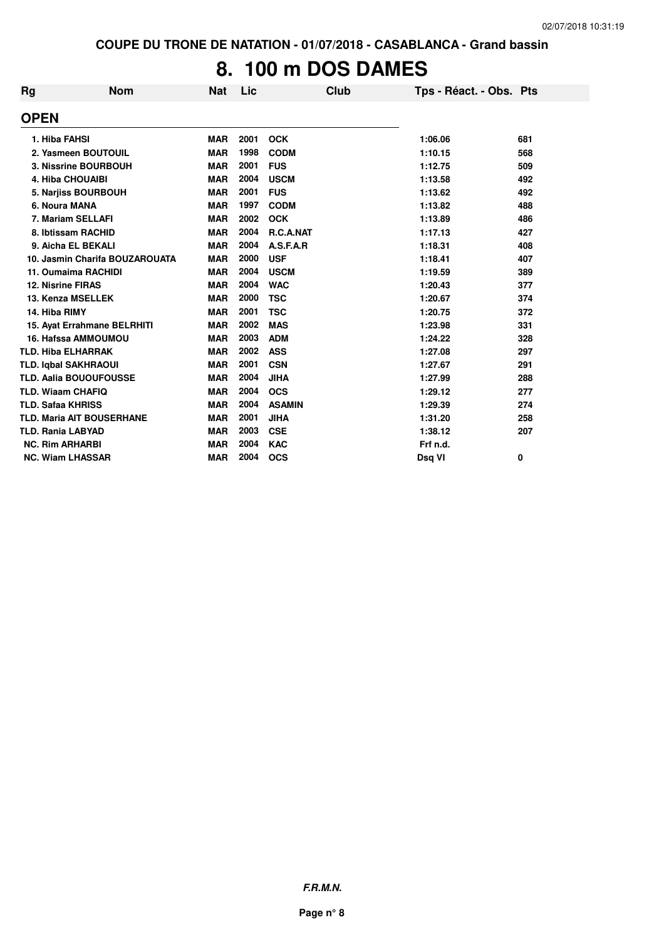# **8. 100 m DOS DAMES**

| Rg          | <b>Nom</b>                       | <b>Nat</b> | <b>Lic</b> | Club          | Tps - Réact. - Obs. Pts |     |
|-------------|----------------------------------|------------|------------|---------------|-------------------------|-----|
| <b>OPEN</b> |                                  |            |            |               |                         |     |
|             | 1. Hiba FAHSI                    | <b>MAR</b> | 2001       | <b>OCK</b>    | 1:06.06                 | 681 |
|             | 2. Yasmeen BOUTOUIL              | <b>MAR</b> | 1998       | <b>CODM</b>   | 1:10.15                 | 568 |
|             | 3. Nissrine BOURBOUH             | <b>MAR</b> | 2001       | <b>FUS</b>    | 1:12.75                 | 509 |
|             | <b>4. Hiba CHOUAIBI</b>          | <b>MAR</b> | 2004       | <b>USCM</b>   | 1:13.58                 | 492 |
|             | 5. Narjiss BOURBOUH              | <b>MAR</b> | 2001       | <b>FUS</b>    | 1:13.62                 | 492 |
|             | 6. Noura MANA                    | <b>MAR</b> | 1997       | <b>CODM</b>   | 1:13.82                 | 488 |
|             | 7. Mariam SELLAFI                | <b>MAR</b> | 2002       | <b>OCK</b>    | 1:13.89                 | 486 |
|             | 8. Ibtissam RACHID               | <b>MAR</b> | 2004       | R.C.A.NAT     | 1:17.13                 | 427 |
|             | 9. Aicha EL BEKALI               | <b>MAR</b> | 2004       | A.S.F.A.R     | 1:18.31                 | 408 |
|             | 10. Jasmin Charifa BOUZAROUATA   | <b>MAR</b> | 2000       | <b>USF</b>    | 1:18.41                 | 407 |
|             | 11. Oumaima RACHIDI              | <b>MAR</b> | 2004       | <b>USCM</b>   | 1:19.59                 | 389 |
|             | <b>12. Nisrine FIRAS</b>         | <b>MAR</b> | 2004       | <b>WAC</b>    | 1:20.43                 | 377 |
|             | 13. Kenza MSELLEK                | <b>MAR</b> | 2000       | <b>TSC</b>    | 1:20.67                 | 374 |
|             | 14. Hiba RIMY                    | <b>MAR</b> | 2001       | <b>TSC</b>    | 1:20.75                 | 372 |
|             | 15. Ayat Errahmane BELRHITI      | <b>MAR</b> | 2002       | <b>MAS</b>    | 1:23.98                 | 331 |
|             | <b>16. Hafssa AMMOUMOU</b>       | <b>MAR</b> | 2003       | <b>ADM</b>    | 1:24.22                 | 328 |
|             | <b>TLD. Hiba ELHARRAK</b>        | <b>MAR</b> | 2002       | <b>ASS</b>    | 1:27.08                 | 297 |
|             | <b>TLD. Iqbal SAKHRAOUI</b>      | <b>MAR</b> | 2001       | <b>CSN</b>    | 1:27.67                 | 291 |
|             | <b>TLD. Aalia BOUOUFOUSSE</b>    | <b>MAR</b> | 2004       | <b>JIHA</b>   | 1:27.99                 | 288 |
|             | <b>TLD. Wiaam CHAFIQ</b>         | <b>MAR</b> | 2004       | <b>OCS</b>    | 1:29.12                 | 277 |
|             | <b>TLD. Safaa KHRISS</b>         | <b>MAR</b> | 2004       | <b>ASAMIN</b> | 1:29.39                 | 274 |
|             | <b>TLD. Maria AIT BOUSERHANE</b> | <b>MAR</b> | 2001       | <b>JIHA</b>   | 1:31.20                 | 258 |
|             | <b>TLD. Rania LABYAD</b>         | <b>MAR</b> | 2003       | <b>CSE</b>    | 1:38.12                 | 207 |
|             | <b>NC. Rim ARHARBI</b>           | <b>MAR</b> | 2004       | <b>KAC</b>    | Frf n.d.                |     |
|             | <b>NC. Wiam LHASSAR</b>          | <b>MAR</b> | 2004       | <b>OCS</b>    | Dsg VI                  | 0   |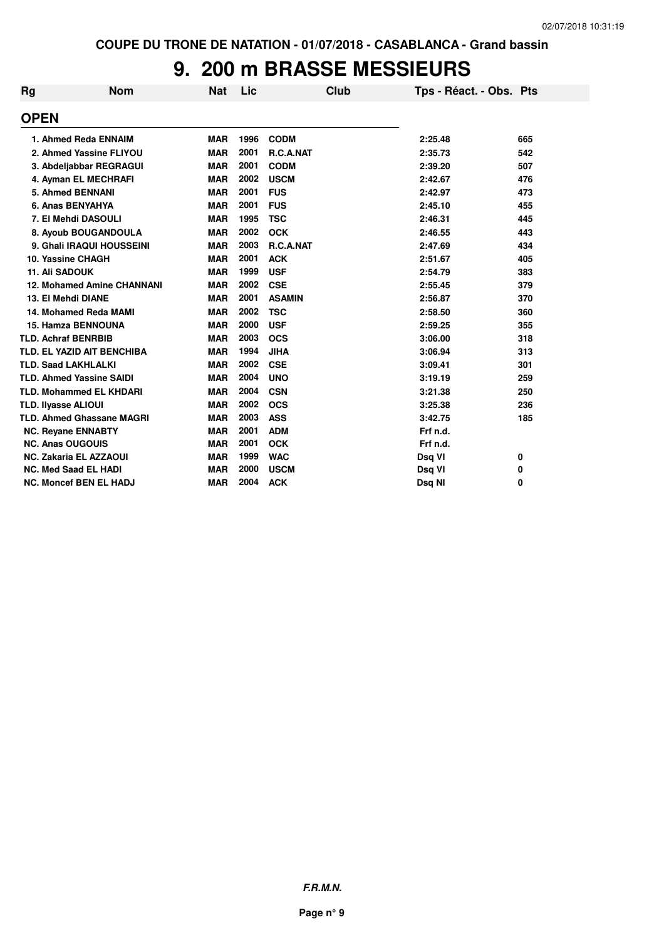# **9. 200 m BRASSE MESSIEURS**

| Rg | <b>Nom</b>                        | <b>Nat</b> | Lic  | <b>Club</b>   | Tps - Réact. - Obs. Pts |     |
|----|-----------------------------------|------------|------|---------------|-------------------------|-----|
|    | <b>OPEN</b>                       |            |      |               |                         |     |
|    | 1. Ahmed Reda ENNAIM              | <b>MAR</b> | 1996 | <b>CODM</b>   | 2:25.48                 | 665 |
|    | 2. Ahmed Yassine FLIYOU           | <b>MAR</b> | 2001 | R.C.A.NAT     | 2:35.73                 | 542 |
|    | 3. Abdeljabbar REGRAGUI           | <b>MAR</b> | 2001 | <b>CODM</b>   | 2:39.20                 | 507 |
|    | 4. Ayman EL MECHRAFI              | <b>MAR</b> | 2002 | <b>USCM</b>   | 2:42.67                 | 476 |
|    | 5. Ahmed BENNANI                  | <b>MAR</b> | 2001 | <b>FUS</b>    | 2:42.97                 | 473 |
|    | 6. Anas BENYAHYA                  | <b>MAR</b> | 2001 | <b>FUS</b>    | 2:45.10                 | 455 |
|    | 7. El Mehdi DASOULI               | <b>MAR</b> | 1995 | <b>TSC</b>    | 2:46.31                 | 445 |
|    | 8. Ayoub BOUGANDOULA              | <b>MAR</b> | 2002 | <b>OCK</b>    | 2:46.55                 | 443 |
|    | 9. Ghali IRAQUI HOUSSEINI         | <b>MAR</b> | 2003 | R.C.A.NAT     | 2:47.69                 | 434 |
|    | 10. Yassine CHAGH                 | <b>MAR</b> | 2001 | <b>ACK</b>    | 2:51.67                 | 405 |
|    | <b>11. Ali SADOUK</b>             | <b>MAR</b> | 1999 | <b>USF</b>    | 2:54.79                 | 383 |
|    | <b>12. Mohamed Amine CHANNANI</b> | <b>MAR</b> | 2002 | <b>CSE</b>    | 2:55.45                 | 379 |
|    | 13. El Mehdi DIANE                | <b>MAR</b> | 2001 | <b>ASAMIN</b> | 2:56.87                 | 370 |
|    | 14. Mohamed Reda MAMI             | <b>MAR</b> | 2002 | <b>TSC</b>    | 2:58.50                 | 360 |
|    | <b>15. Hamza BENNOUNA</b>         | <b>MAR</b> | 2000 | <b>USF</b>    | 2:59.25                 | 355 |
|    | <b>TLD. Achraf BENRBIB</b>        | <b>MAR</b> | 2003 | <b>OCS</b>    | 3:06.00                 | 318 |
|    | TLD. EL YAZID AIT BENCHIBA        | <b>MAR</b> | 1994 | <b>JIHA</b>   | 3:06.94                 | 313 |
|    | <b>TLD. Saad LAKHLALKI</b>        | <b>MAR</b> | 2002 | <b>CSE</b>    | 3:09.41                 | 301 |
|    | <b>TLD. Ahmed Yassine SAIDI</b>   | <b>MAR</b> | 2004 | <b>UNO</b>    | 3:19.19                 | 259 |
|    | <b>TLD. Mohammed EL KHDARI</b>    | <b>MAR</b> | 2004 | <b>CSN</b>    | 3:21.38                 | 250 |
|    | TLD. Ilyasse ALIOUI               | <b>MAR</b> | 2002 | <b>OCS</b>    | 3:25.38                 | 236 |
|    | <b>TLD. Ahmed Ghassane MAGRI</b>  | <b>MAR</b> | 2003 | <b>ASS</b>    | 3:42.75                 | 185 |
|    | <b>NC. Reyane ENNABTY</b>         | <b>MAR</b> | 2001 | <b>ADM</b>    | Frf n.d.                |     |
|    | <b>NC. Anas OUGOUIS</b>           | <b>MAR</b> | 2001 | <b>OCK</b>    | Frf n.d.                |     |
|    | <b>NC. Zakaria EL AZZAOUI</b>     | <b>MAR</b> | 1999 | <b>WAC</b>    | Dsq VI                  | 0   |
|    | <b>NC. Med Saad EL HADI</b>       | <b>MAR</b> | 2000 | <b>USCM</b>   | Dsq VI                  | 0   |
|    | <b>NC. Moncef BEN EL HADJ</b>     | <b>MAR</b> | 2004 | <b>ACK</b>    | Dsq NI                  | 0   |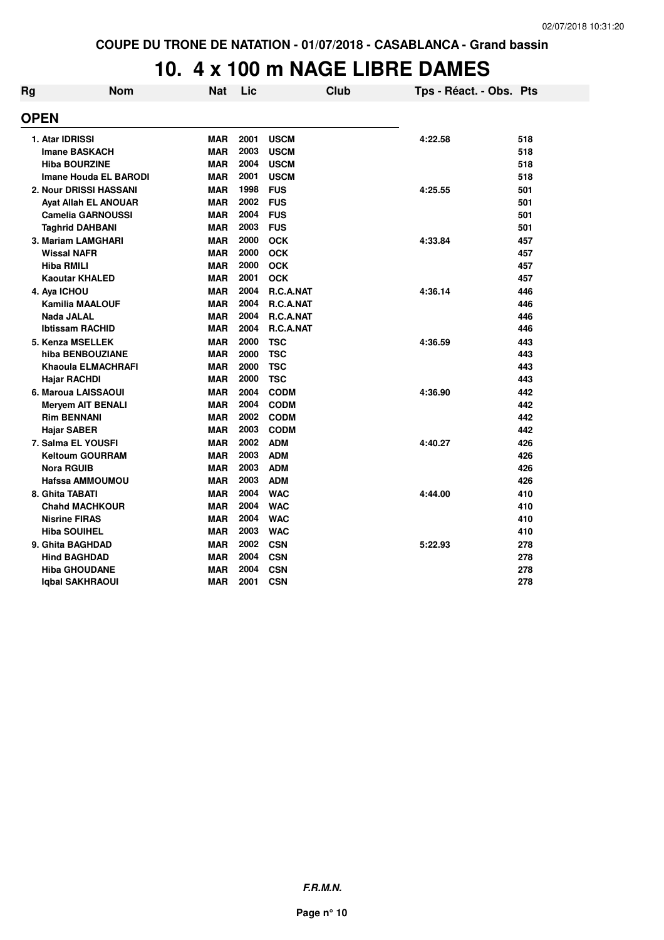# **10. 4 x 100 m NAGE LIBRE DAMES**

| Rg | <b>Nom</b>                   | <b>Nat</b> | Lic  |                  | <b>Club</b> | Tps - Réact. - Obs. Pts |     |
|----|------------------------------|------------|------|------------------|-------------|-------------------------|-----|
|    | <b>OPEN</b>                  |            |      |                  |             |                         |     |
|    | 1. Atar IDRISSI              | <b>MAR</b> | 2001 | <b>USCM</b>      |             | 4:22.58                 | 518 |
|    | <b>Imane BASKACH</b>         | <b>MAR</b> | 2003 | <b>USCM</b>      |             |                         | 518 |
|    | <b>Hiba BOURZINE</b>         | <b>MAR</b> | 2004 | <b>USCM</b>      |             |                         | 518 |
|    | <b>Imane Houda EL BARODI</b> | <b>MAR</b> | 2001 | <b>USCM</b>      |             |                         | 518 |
|    | 2. Nour DRISSI HASSANI       | <b>MAR</b> | 1998 | <b>FUS</b>       |             | 4:25.55                 | 501 |
|    | <b>Ayat Allah EL ANOUAR</b>  | <b>MAR</b> | 2002 | <b>FUS</b>       |             |                         | 501 |
|    | <b>Camelia GARNOUSSI</b>     | <b>MAR</b> | 2004 | <b>FUS</b>       |             |                         | 501 |
|    | <b>Taghrid DAHBANI</b>       | <b>MAR</b> | 2003 | <b>FUS</b>       |             |                         | 501 |
|    | 3. Mariam LAMGHARI           | <b>MAR</b> | 2000 | <b>OCK</b>       |             | 4:33.84                 | 457 |
|    | <b>Wissal NAFR</b>           | <b>MAR</b> | 2000 | <b>OCK</b>       |             |                         | 457 |
|    | <b>Hiba RMILI</b>            | <b>MAR</b> | 2000 | <b>OCK</b>       |             |                         | 457 |
|    | <b>Kaoutar KHALED</b>        | <b>MAR</b> | 2001 | <b>OCK</b>       |             |                         | 457 |
|    | 4. Aya ICHOU                 | <b>MAR</b> | 2004 | <b>R.C.A.NAT</b> |             | 4:36.14                 | 446 |
|    | <b>Kamilia MAALOUF</b>       | <b>MAR</b> | 2004 | <b>R.C.A.NAT</b> |             |                         | 446 |
|    | <b>Nada JALAL</b>            | <b>MAR</b> | 2004 | R.C.A.NAT        |             |                         | 446 |
|    | <b>Ibtissam RACHID</b>       | <b>MAR</b> | 2004 | <b>R.C.A.NAT</b> |             |                         | 446 |
|    | 5. Kenza MSELLEK             | <b>MAR</b> | 2000 | <b>TSC</b>       |             | 4:36.59                 | 443 |
|    | hiba BENBOUZIANE             | <b>MAR</b> | 2000 | <b>TSC</b>       |             |                         | 443 |
|    | Khaoula ELMACHRAFI           | <b>MAR</b> | 2000 | <b>TSC</b>       |             |                         | 443 |
|    | <b>Hajar RACHDI</b>          | <b>MAR</b> | 2000 | <b>TSC</b>       |             |                         | 443 |
|    | 6. Maroua LAISSAOUI          | <b>MAR</b> | 2004 | <b>CODM</b>      |             | 4:36.90                 | 442 |
|    | <b>Meryem AIT BENALI</b>     | <b>MAR</b> | 2004 | <b>CODM</b>      |             |                         | 442 |
|    | <b>Rim BENNANI</b>           | <b>MAR</b> | 2002 | <b>CODM</b>      |             |                         | 442 |
|    | <b>Hajar SABER</b>           | <b>MAR</b> | 2003 | <b>CODM</b>      |             |                         | 442 |
|    | 7. Salma EL YOUSFI           | <b>MAR</b> | 2002 | <b>ADM</b>       |             | 4:40.27                 | 426 |
|    | <b>Keltoum GOURRAM</b>       | <b>MAR</b> | 2003 | <b>ADM</b>       |             |                         | 426 |
|    | <b>Nora RGUIB</b>            | <b>MAR</b> | 2003 | <b>ADM</b>       |             |                         | 426 |
|    | <b>Hafssa AMMOUMOU</b>       | <b>MAR</b> | 2003 | <b>ADM</b>       |             |                         | 426 |
|    | 8. Ghita TABATI              | <b>MAR</b> | 2004 | <b>WAC</b>       |             | 4:44.00                 | 410 |
|    | <b>Chahd MACHKOUR</b>        | <b>MAR</b> | 2004 | <b>WAC</b>       |             |                         | 410 |
|    | <b>Nisrine FIRAS</b>         | <b>MAR</b> | 2004 | <b>WAC</b>       |             |                         | 410 |
|    | <b>Hiba SOUIHEL</b>          | <b>MAR</b> | 2003 | <b>WAC</b>       |             |                         | 410 |
|    | 9. Ghita BAGHDAD             | <b>MAR</b> | 2002 | <b>CSN</b>       |             | 5:22.93                 | 278 |
|    | <b>Hind BAGHDAD</b>          | <b>MAR</b> | 2004 | <b>CSN</b>       |             |                         | 278 |
|    | <b>Hiba GHOUDANE</b>         | <b>MAR</b> | 2004 | <b>CSN</b>       |             |                         | 278 |
|    | Igbal SAKHRAOUI              | <b>MAR</b> | 2001 | <b>CSN</b>       |             |                         | 278 |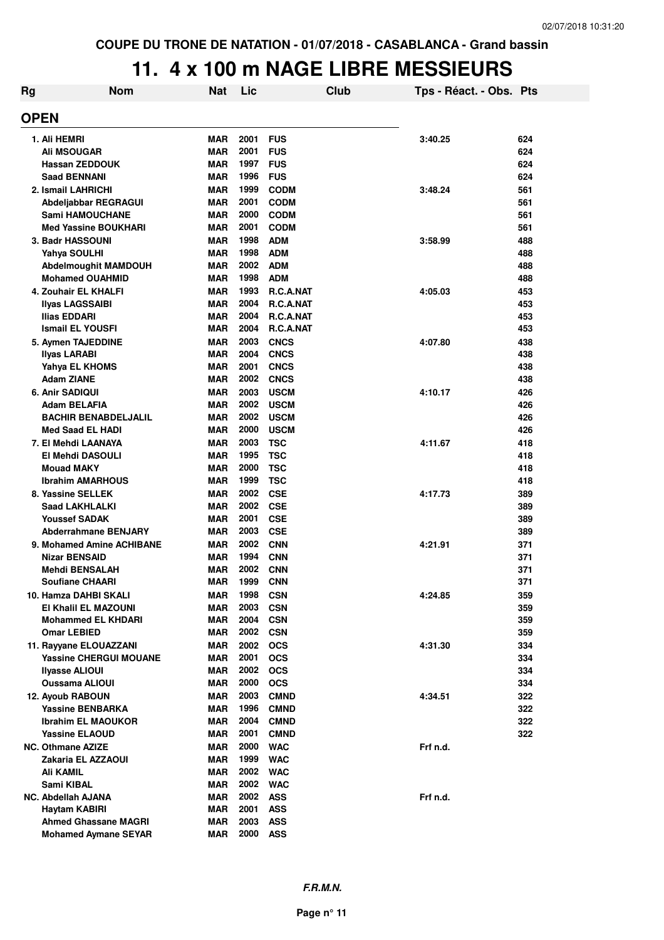# **11. 4 x 100 m NAGE LIBRE MESSIEURS**

| Rg | <b>Nom</b>                                            | Nat               | Lic          |                          | <b>Club</b> | Tps - Réact. - Obs. Pts |            |
|----|-------------------------------------------------------|-------------------|--------------|--------------------------|-------------|-------------------------|------------|
|    | <b>OPEN</b>                                           |                   |              |                          |             |                         |            |
|    |                                                       |                   |              |                          |             |                         |            |
|    | 1. Ali HEMRI                                          | MAR               | 2001         | <b>FUS</b>               |             | 3:40.25                 | 624        |
|    | <b>Ali MSOUGAR</b>                                    | MAR               | 2001         | <b>FUS</b>               |             |                         | 624        |
|    | <b>Hassan ZEDDOUK</b>                                 | MAR               | 1997         | <b>FUS</b>               |             |                         | 624        |
|    | <b>Saad BENNANI</b>                                   | MAR               | 1996         | <b>FUS</b>               |             |                         | 624        |
|    | 2. Ismail LAHRICHI                                    | MAR               | 1999         | <b>CODM</b>              |             | 3:48.24                 | 561        |
|    | Abdeljabbar REGRAGUI                                  | <b>MAR</b>        | 2001         | <b>CODM</b>              |             |                         | 561        |
|    | <b>Sami HAMOUCHANE</b>                                | <b>MAR</b>        | 2000         | <b>CODM</b>              |             |                         | 561        |
|    | <b>Med Yassine BOUKHARI</b>                           | MAR               | 2001         | <b>CODM</b>              |             |                         | 561        |
|    | 3. Badr HASSOUNI                                      | MAR               | 1998         | <b>ADM</b>               |             | 3:58.99                 | 488        |
|    | Yahya SOULHI                                          | MAR<br>MAR        | 1998<br>2002 | <b>ADM</b><br><b>ADM</b> |             |                         | 488<br>488 |
|    | <b>Abdelmoughit MAMDOUH</b><br><b>Mohamed OUAHMID</b> | <b>MAR</b>        | 1998         | <b>ADM</b>               |             |                         | 488        |
|    | 4. Zouhair EL KHALFI                                  | <b>MAR</b>        | 1993         | R.C.A.NAT                |             | 4:05.03                 | 453        |
|    | Ilyas LAGSSAIBI                                       | MAR               | 2004         | R.C.A.NAT                |             |                         | 453        |
|    | Ilias EDDARI                                          | <b>MAR</b>        | 2004         | R.C.A.NAT                |             |                         | 453        |
|    | <b>Ismail EL YOUSFI</b>                               | MAR               | 2004         | R.C.A.NAT                |             |                         | 453        |
|    | 5. Aymen TAJEDDINE                                    | <b>MAR</b>        | 2003         | <b>CNCS</b>              |             | 4:07.80                 | 438        |
|    | Ilyas LARABI                                          | MAR               | 2004         | <b>CNCS</b>              |             |                         | 438        |
|    | Yahya EL KHOMS                                        | MAR               | 2001         | <b>CNCS</b>              |             |                         | 438        |
|    | Adam ZIANE                                            | MAR               | 2002         | <b>CNCS</b>              |             |                         | 438        |
|    | 6. Anir SADIQUI                                       | <b>MAR</b>        | 2003         | <b>USCM</b>              |             | 4:10.17                 | 426        |
|    | Adam BELAFIA                                          | MAR               | 2002         | <b>USCM</b>              |             |                         | 426        |
|    | <b>BACHIR BENABDELJALIL</b>                           | MAR               | 2002         | <b>USCM</b>              |             |                         | 426        |
|    | <b>Med Saad EL HADI</b>                               | <b>MAR</b>        | 2000         | <b>USCM</b>              |             |                         | 426        |
|    | 7. El Mehdi LAANAYA                                   | MAR               | 2003         | <b>TSC</b>               |             | 4:11.67                 | 418        |
|    | El Mehdi DASOULI                                      | MAR               | 1995         | <b>TSC</b>               |             |                         | 418        |
|    | <b>Mouad MAKY</b>                                     | MAR               | 2000         | <b>TSC</b>               |             |                         | 418        |
|    | <b>Ibrahim AMARHOUS</b>                               | MAR               | 1999         | <b>TSC</b>               |             |                         | 418        |
|    | 8. Yassine SELLEK                                     | <b>MAR</b>        | 2002         | <b>CSE</b>               |             | 4:17.73                 | 389        |
|    | <b>Saad LAKHLALKI</b>                                 | <b>MAR</b>        | 2002         | <b>CSE</b>               |             |                         | 389        |
|    | <b>Youssef SADAK</b>                                  | <b>MAR</b>        | 2001         | <b>CSE</b>               |             |                         | 389        |
|    | <b>Abderrahmane BENJARY</b>                           | MAR               | 2003         | <b>CSE</b>               |             |                         | 389        |
|    | 9. Mohamed Amine ACHIBANE                             | MAR               | 2002         | <b>CNN</b>               |             | 4:21.91                 | 371        |
|    | <b>Nizar BENSAID</b>                                  | <b>MAR</b>        | 1994         | <b>CNN</b>               |             |                         | 371        |
|    | <b>Mehdi BENSALAH</b>                                 | <b>MAR</b>        | 2002         | <b>CNN</b>               |             |                         | 371        |
|    | Soufiane CHAARI                                       | MAR               | 1999         | <b>CNN</b>               |             |                         | 371        |
|    | 10. Hamza DAHBI SKALI                                 | MAR               | 1998         | <b>CSN</b>               |             | 4:24.85                 | 359        |
|    | <b>EI Khalil EL MAZOUNI</b>                           | MAR<br><b>MAR</b> | 2003<br>2004 | <b>CSN</b>               |             |                         | 359        |
|    | <b>Mohammed EL KHDARI</b><br>Omar LEBIED              | <b>MAR</b>        | 2002         | <b>CSN</b><br><b>CSN</b> |             |                         | 359<br>359 |
|    | 11. Rayyane ELOUAZZANI                                | MAR               | 2002         | <b>OCS</b>               |             | 4:31.30                 | 334        |
|    | <b>Yassine CHERGUI MOUANE</b>                         | MAR               | 2001         | <b>OCS</b>               |             |                         | 334        |
|    | <b>Ilyasse ALIOUI</b>                                 | MAR               | 2002         | <b>OCS</b>               |             |                         | 334        |
|    | Oussama ALIOUI                                        | MAR               | 2000         | <b>OCS</b>               |             |                         | 334        |
|    | <b>12. Ayoub RABOUN</b>                               | MAR               | 2003         | <b>CMND</b>              |             | 4:34.51                 | 322        |
|    | <b>Yassine BENBARKA</b>                               | MAR               | 1996         | <b>CMND</b>              |             |                         | 322        |
|    | Ibrahim EL MAOUKOR                                    | MAR               | 2004         | <b>CMND</b>              |             |                         | 322        |
|    | <b>Yassine ELAOUD</b>                                 | <b>MAR</b>        | 2001         | <b>CMND</b>              |             |                         | 322        |
|    | <b>NC. Othmane AZIZE</b>                              | <b>MAR</b>        | 2000         | <b>WAC</b>               |             | Frf n.d.                |            |
|    | Zakaria EL AZZAOUI                                    | <b>MAR</b>        | 1999         | <b>WAC</b>               |             |                         |            |
|    | Ali KAMIL                                             | MAR               | 2002         | <b>WAC</b>               |             |                         |            |
|    | Sami KIBAL                                            | MAR               | 2002         | <b>WAC</b>               |             |                         |            |
|    | <b>NC. Abdellah AJANA</b>                             | MAR               | 2002         | <b>ASS</b>               |             | Frf n.d.                |            |
|    | Haytam KABIRI                                         | MAR               | 2001         | <b>ASS</b>               |             |                         |            |
|    | <b>Ahmed Ghassane MAGRI</b>                           | MAR               | 2003         | <b>ASS</b>               |             |                         |            |
|    | <b>Mohamed Aymane SEYAR</b>                           | <b>MAR</b>        | 2000         | <b>ASS</b>               |             |                         |            |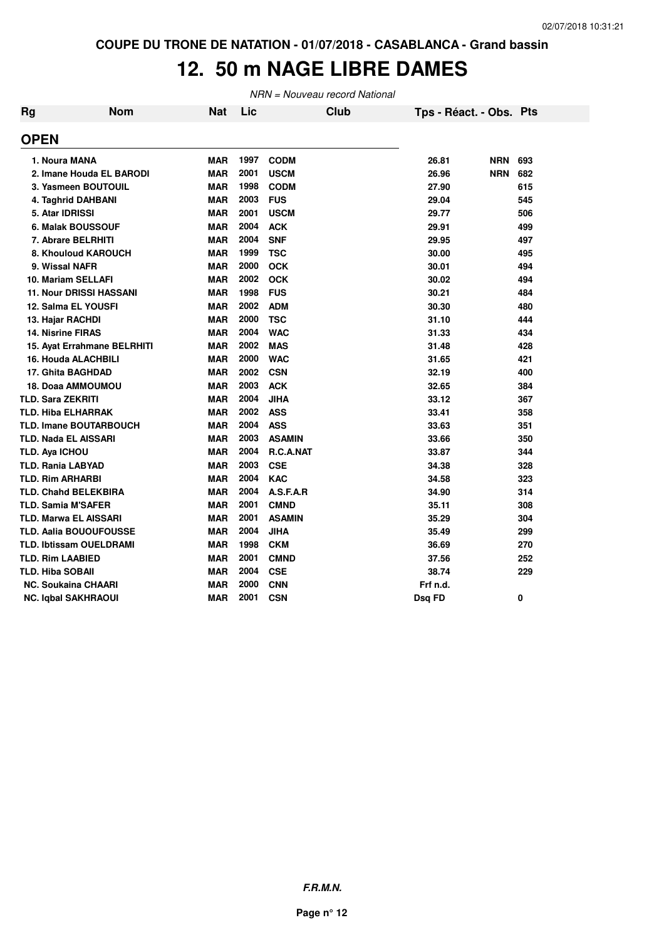# **12. 50 m NAGE LIBRE DAMES**

NRN = Nouveau record National

| Rg | <b>Nom</b>                     | <b>Nat</b> | Lic  | <b>Club</b>   | Tps - Réact. - Obs. Pts |            |     |
|----|--------------------------------|------------|------|---------------|-------------------------|------------|-----|
|    | <b>OPEN</b>                    |            |      |               |                         |            |     |
|    | 1. Noura MANA                  | <b>MAR</b> | 1997 | <b>CODM</b>   | 26.81                   | <b>NRN</b> | 693 |
|    | 2. Imane Houda EL BARODI       | <b>MAR</b> | 2001 | <b>USCM</b>   | 26.96                   | <b>NRN</b> | 682 |
|    | 3. Yasmeen BOUTOUIL            | <b>MAR</b> | 1998 | <b>CODM</b>   | 27.90                   |            | 615 |
|    | 4. Taghrid DAHBANI             | <b>MAR</b> | 2003 | <b>FUS</b>    | 29.04                   |            | 545 |
|    | 5. Atar IDRISSI                | <b>MAR</b> | 2001 | <b>USCM</b>   | 29.77                   |            | 506 |
|    | 6. Malak BOUSSOUF              | <b>MAR</b> | 2004 | <b>ACK</b>    | 29.91                   |            | 499 |
|    | 7. Abrare BELRHITI             | <b>MAR</b> | 2004 | <b>SNF</b>    | 29.95                   |            | 497 |
|    | 8. Khouloud KAROUCH            | <b>MAR</b> | 1999 | <b>TSC</b>    | 30.00                   |            | 495 |
|    | 9. Wissal NAFR                 | <b>MAR</b> | 2000 | <b>OCK</b>    | 30.01                   |            | 494 |
|    | 10. Mariam SELLAFI             | <b>MAR</b> | 2002 | <b>OCK</b>    | 30.02                   |            | 494 |
|    | <b>11. Nour DRISSI HASSANI</b> | <b>MAR</b> | 1998 | <b>FUS</b>    | 30.21                   |            | 484 |
|    | 12. Salma EL YOUSFI            | <b>MAR</b> | 2002 | <b>ADM</b>    | 30.30                   |            | 480 |
|    | 13. Hajar RACHDI               | MAR        | 2000 | <b>TSC</b>    | 31.10                   |            | 444 |
|    | <b>14. Nisrine FIRAS</b>       | MAR        | 2004 | <b>WAC</b>    | 31.33                   |            | 434 |
|    | 15. Ayat Errahmane BELRHITI    | MAR        | 2002 | <b>MAS</b>    | 31.48                   |            | 428 |
|    | <b>16. Houda ALACHBILI</b>     | <b>MAR</b> | 2000 | <b>WAC</b>    | 31.65                   |            | 421 |
|    | 17. Ghita BAGHDAD              | <b>MAR</b> | 2002 | <b>CSN</b>    | 32.19                   |            | 400 |
|    | <b>18. Doaa AMMOUMOU</b>       | <b>MAR</b> | 2003 | <b>ACK</b>    | 32.65                   |            | 384 |
|    | <b>TLD. Sara ZEKRITI</b>       | <b>MAR</b> | 2004 | <b>JIHA</b>   | 33.12                   |            | 367 |
|    | <b>TLD. Hiba ELHARRAK</b>      | <b>MAR</b> | 2002 | <b>ASS</b>    | 33.41                   |            | 358 |
|    | <b>TLD. Imane BOUTARBOUCH</b>  | <b>MAR</b> | 2004 | <b>ASS</b>    | 33.63                   |            | 351 |
|    | <b>TLD. Nada EL AISSARI</b>    | <b>MAR</b> | 2003 | <b>ASAMIN</b> | 33.66                   |            | 350 |
|    | <b>TLD. Aya ICHOU</b>          | <b>MAR</b> | 2004 | R.C.A.NAT     | 33.87                   |            | 344 |
|    | <b>TLD. Rania LABYAD</b>       | <b>MAR</b> | 2003 | <b>CSE</b>    | 34.38                   |            | 328 |
|    | <b>TLD. Rim ARHARBI</b>        | <b>MAR</b> | 2004 | <b>KAC</b>    | 34.58                   |            | 323 |
|    | <b>TLD. Chahd BELEKBIRA</b>    | <b>MAR</b> | 2004 | A.S.F.A.R     | 34.90                   |            | 314 |
|    | <b>TLD. Samia M'SAFER</b>      | <b>MAR</b> | 2001 | <b>CMND</b>   | 35.11                   |            | 308 |
|    | <b>TLD. Marwa EL AISSARI</b>   | <b>MAR</b> | 2001 | <b>ASAMIN</b> | 35.29                   |            | 304 |
|    | TLD. Aalia BOUOUFOUSSE         | <b>MAR</b> | 2004 | <b>JIHA</b>   | 35.49                   |            | 299 |
|    | <b>TLD. Ibtissam OUELDRAMI</b> | <b>MAR</b> | 1998 | <b>CKM</b>    | 36.69                   |            | 270 |
|    | <b>TLD. Rim LAABIED</b>        | <b>MAR</b> | 2001 | <b>CMND</b>   | 37.56                   |            | 252 |
|    | <b>TLD. Hiba SOBAII</b>        | <b>MAR</b> | 2004 | <b>CSE</b>    | 38.74                   |            | 229 |
|    | <b>NC. Soukaina CHAARI</b>     | <b>MAR</b> | 2000 | <b>CNN</b>    | Frf n.d.                |            |     |
|    | <b>NC. Iqbal SAKHRAOUI</b>     | <b>MAR</b> | 2001 | CSN           | Dsq FD                  |            | 0   |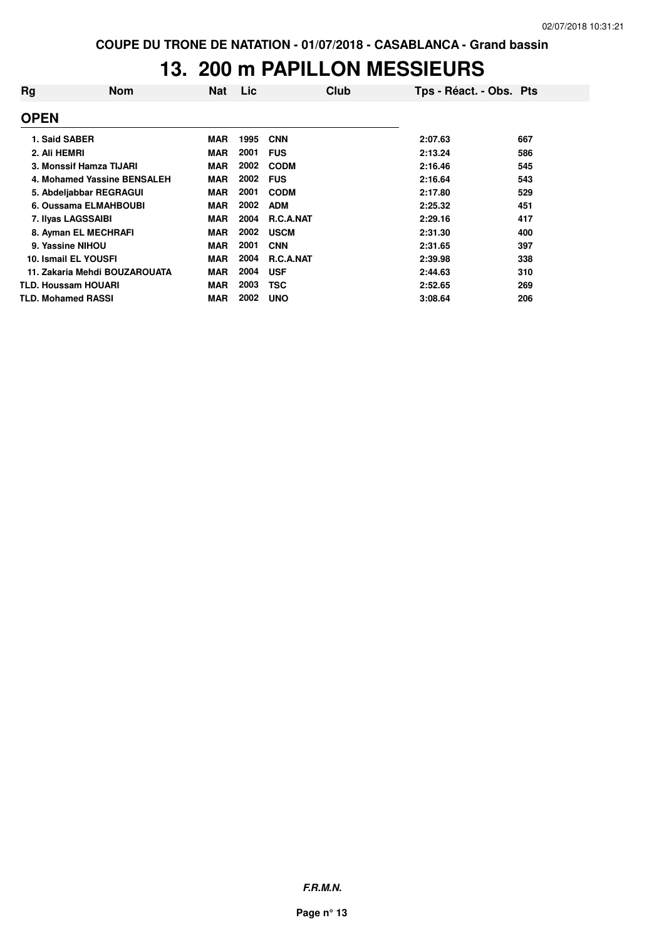### **13. 200 m PAPILLON MESSIEURS**

| Rg          | <b>Nom</b>                    | <b>Nat</b> | Lic  | Club             | Tps - Réact. - Obs. Pts |     |
|-------------|-------------------------------|------------|------|------------------|-------------------------|-----|
| <b>OPEN</b> |                               |            |      |                  |                         |     |
|             | 1. Said SABER                 | <b>MAR</b> | 1995 | <b>CNN</b>       | 2:07.63                 | 667 |
|             | 2. Ali HEMRI                  | <b>MAR</b> | 2001 | <b>FUS</b>       | 2:13.24                 | 586 |
|             | 3. Monssif Hamza TIJARI       | <b>MAR</b> | 2002 | <b>CODM</b>      | 2:16.46                 | 545 |
|             | 4. Mohamed Yassine BENSALEH   | <b>MAR</b> | 2002 | <b>FUS</b>       | 2:16.64                 | 543 |
|             | 5. Abdeljabbar REGRAGUI       | <b>MAR</b> | 2001 | <b>CODM</b>      | 2:17.80                 | 529 |
|             | 6. Oussama ELMAHBOUBI         | <b>MAR</b> | 2002 | <b>ADM</b>       | 2:25.32                 | 451 |
|             | 7. Ilyas LAGSSAIBI            | <b>MAR</b> | 2004 | <b>R.C.A.NAT</b> | 2:29.16                 | 417 |
|             | 8. Ayman EL MECHRAFI          | <b>MAR</b> | 2002 | <b>USCM</b>      | 2:31.30                 | 400 |
|             | 9. Yassine NIHOU              | <b>MAR</b> | 2001 | <b>CNN</b>       | 2:31.65                 | 397 |
|             | 10. Ismail EL YOUSFI          | <b>MAR</b> | 2004 | R.C.A.NAT        | 2:39.98                 | 338 |
|             | 11. Zakaria Mehdi BOUZAROUATA | <b>MAR</b> | 2004 | <b>USF</b>       | 2:44.63                 | 310 |
|             | <b>TLD. Houssam HOUARI</b>    | <b>MAR</b> | 2003 | <b>TSC</b>       | 2:52.65                 | 269 |
|             | <b>TLD. Mohamed RASSI</b>     | <b>MAR</b> | 2002 | <b>UNO</b>       | 3:08.64                 | 206 |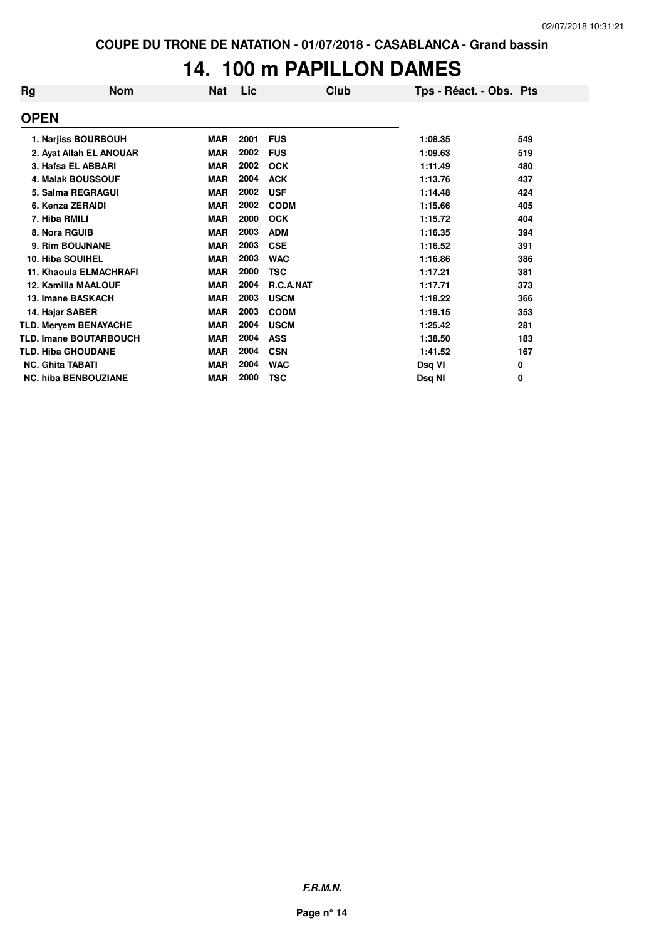## **14. 100 m PAPILLON DAMES**

| Rg                        | <b>Nom</b>                    | Nat        | Lic  | Club        | Tps - Réact. - Obs. Pts |     |
|---------------------------|-------------------------------|------------|------|-------------|-------------------------|-----|
| <b>OPEN</b>               |                               |            |      |             |                         |     |
|                           | 1. Narjiss BOURBOUH           | <b>MAR</b> | 2001 | <b>FUS</b>  | 1:08.35                 | 549 |
|                           | 2. Ayat Allah EL ANOUAR       | <b>MAR</b> | 2002 | <b>FUS</b>  | 1:09.63                 | 519 |
|                           | 3. Hafsa EL ABBARI            | <b>MAR</b> | 2002 | <b>OCK</b>  | 1:11.49                 | 480 |
|                           | <b>4. Malak BOUSSOUF</b>      | <b>MAR</b> | 2004 | <b>ACK</b>  | 1:13.76                 | 437 |
|                           | 5. Salma REGRAGUI             | <b>MAR</b> | 2002 | <b>USF</b>  | 1:14.48                 | 424 |
| 6. Kenza ZERAIDI          |                               | <b>MAR</b> | 2002 | <b>CODM</b> | 1:15.66                 | 405 |
| 7. Hiba RMILI             |                               | <b>MAR</b> | 2000 | <b>OCK</b>  | 1:15.72                 | 404 |
| 8. Nora RGUIB             |                               | <b>MAR</b> | 2003 | <b>ADM</b>  | 1:16.35                 | 394 |
|                           | 9. Rim BOUJNANE               | <b>MAR</b> | 2003 | <b>CSE</b>  | 1:16.52                 | 391 |
| <b>10. Hiba SOUIHEL</b>   |                               | <b>MAR</b> | 2003 | <b>WAC</b>  | 1:16.86                 | 386 |
|                           | <b>11. Khaoula ELMACHRAFI</b> | <b>MAR</b> | 2000 | TSC         | 1:17.21                 | 381 |
|                           | <b>12. Kamilia MAALOUF</b>    | <b>MAR</b> | 2004 | R.C.A.NAT   | 1:17.71                 | 373 |
|                           | 13. Imane BASKACH             | <b>MAR</b> | 2003 | <b>USCM</b> | 1:18.22                 | 366 |
| 14. Hajar SABER           |                               | <b>MAR</b> | 2003 | <b>CODM</b> | 1:19.15                 | 353 |
|                           | <b>TLD. Meryem BENAYACHE</b>  | <b>MAR</b> | 2004 | <b>USCM</b> | 1:25.42                 | 281 |
|                           | <b>TLD. Imane BOUTARBOUCH</b> | <b>MAR</b> | 2004 | <b>ASS</b>  | 1:38.50                 | 183 |
| <b>TLD. Hiba GHOUDANE</b> |                               | <b>MAR</b> | 2004 | <b>CSN</b>  | 1:41.52                 | 167 |
| <b>NC. Ghita TABATI</b>   |                               | <b>MAR</b> | 2004 | <b>WAC</b>  | Dsq VI                  | 0   |
|                           | <b>NC. hiba BENBOUZIANE</b>   | <b>MAR</b> | 2000 | TSC         | Dsa NI                  | 0   |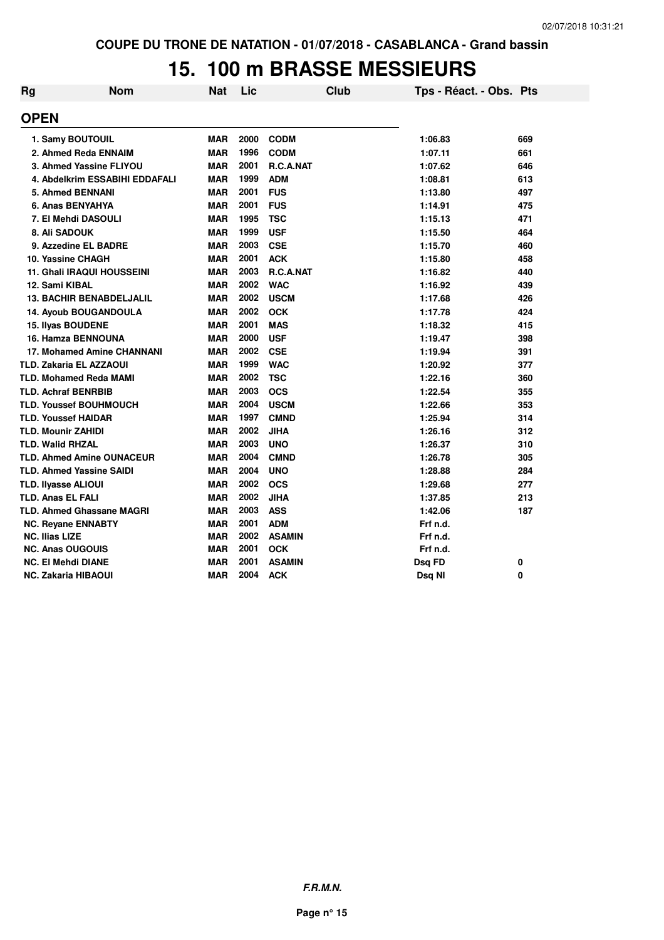## **15. 100 m BRASSE MESSIEURS**

| Rg                         | <b>Nom</b>                        | <b>Nat</b> | Lic  | <b>Club</b>   | Tps - Réact. - Obs. Pts |     |
|----------------------------|-----------------------------------|------------|------|---------------|-------------------------|-----|
| <b>OPEN</b>                |                                   |            |      |               |                         |     |
|                            | 1. Samy BOUTOUIL                  | <b>MAR</b> | 2000 | <b>CODM</b>   | 1:06.83                 | 669 |
|                            | 2. Ahmed Reda ENNAIM              | <b>MAR</b> | 1996 | <b>CODM</b>   | 1:07.11                 | 661 |
|                            | 3. Ahmed Yassine FLIYOU           | <b>MAR</b> | 2001 | R.C.A.NAT     | 1:07.62                 | 646 |
|                            | 4. Abdelkrim ESSABIHI EDDAFALI    | <b>MAR</b> | 1999 | <b>ADM</b>    | 1:08.81                 | 613 |
|                            | 5. Ahmed BENNANI                  | <b>MAR</b> | 2001 | <b>FUS</b>    | 1:13.80                 | 497 |
|                            | 6. Anas BENYAHYA                  | <b>MAR</b> | 2001 | <b>FUS</b>    | 1:14.91                 | 475 |
|                            | 7. El Mehdi DASOULI               | <b>MAR</b> | 1995 | <b>TSC</b>    | 1:15.13                 | 471 |
|                            | 8. Ali SADOUK                     | <b>MAR</b> | 1999 | <b>USF</b>    | 1:15.50                 | 464 |
|                            | 9. Azzedine EL BADRE              | <b>MAR</b> | 2003 | <b>CSE</b>    | 1:15.70                 | 460 |
|                            | 10. Yassine CHAGH                 | <b>MAR</b> | 2001 | <b>ACK</b>    | 1:15.80                 | 458 |
|                            | <b>11. Ghali IRAQUI HOUSSEINI</b> | <b>MAR</b> | 2003 | R.C.A.NAT     | 1:16.82                 | 440 |
| 12. Sami KIBAL             |                                   | <b>MAR</b> | 2002 | <b>WAC</b>    | 1:16.92                 | 439 |
|                            | <b>13. BACHIR BENABDELJALIL</b>   | <b>MAR</b> | 2002 | <b>USCM</b>   | 1:17.68                 | 426 |
|                            | 14. Ayoub BOUGANDOULA             | <b>MAR</b> | 2002 | <b>OCK</b>    | 1:17.78                 | 424 |
|                            | 15. Ilyas BOUDENE                 | <b>MAR</b> | 2001 | <b>MAS</b>    | 1:18.32                 | 415 |
|                            | <b>16. Hamza BENNOUNA</b>         | <b>MAR</b> | 2000 | <b>USF</b>    | 1:19.47                 | 398 |
|                            | <b>17. Mohamed Amine CHANNANI</b> | <b>MAR</b> | 2002 | <b>CSE</b>    | 1:19.94                 | 391 |
|                            | <b>TLD. Zakaria EL AZZAOUI</b>    | <b>MAR</b> | 1999 | <b>WAC</b>    | 1:20.92                 | 377 |
|                            | <b>TLD. Mohamed Reda MAMI</b>     | <b>MAR</b> | 2002 | <b>TSC</b>    | 1:22.16                 | 360 |
|                            | <b>TLD. Achraf BENRBIB</b>        | <b>MAR</b> | 2003 | <b>OCS</b>    | 1:22.54                 | 355 |
|                            | <b>TLD. Youssef BOUHMOUCH</b>     | <b>MAR</b> | 2004 | <b>USCM</b>   | 1:22.66                 | 353 |
|                            | <b>TLD. Youssef HAIDAR</b>        | <b>MAR</b> | 1997 | <b>CMND</b>   | 1:25.94                 | 314 |
| <b>TLD. Mounir ZAHIDI</b>  |                                   | <b>MAR</b> | 2002 | <b>JIHA</b>   | 1:26.16                 | 312 |
| <b>TLD. Walid RHZAL</b>    |                                   | <b>MAR</b> | 2003 | <b>UNO</b>    | 1:26.37                 | 310 |
|                            | <b>TLD. Ahmed Amine OUNACEUR</b>  | <b>MAR</b> | 2004 | <b>CMND</b>   | 1:26.78                 | 305 |
|                            | <b>TLD. Ahmed Yassine SAIDI</b>   | <b>MAR</b> | 2004 | <b>UNO</b>    | 1:28.88                 | 284 |
| <b>TLD. Ilyasse ALIOUI</b> |                                   | <b>MAR</b> | 2002 | <b>OCS</b>    | 1:29.68                 | 277 |
| <b>TLD. Anas EL FALI</b>   |                                   | <b>MAR</b> | 2002 | <b>JIHA</b>   | 1:37.85                 | 213 |
|                            | <b>TLD. Ahmed Ghassane MAGRI</b>  | <b>MAR</b> | 2003 | <b>ASS</b>    | 1:42.06                 | 187 |
|                            | <b>NC. Reyane ENNABTY</b>         | <b>MAR</b> | 2001 | <b>ADM</b>    | Frf n.d.                |     |
| <b>NC. Ilias LIZE</b>      |                                   | <b>MAR</b> | 2002 | <b>ASAMIN</b> | Frf n.d.                |     |
|                            | <b>NC. Anas OUGOUIS</b>           | <b>MAR</b> | 2001 | <b>OCK</b>    | Frf n.d.                |     |
|                            | <b>NC. El Mehdi DIANE</b>         | <b>MAR</b> | 2001 | <b>ASAMIN</b> | Dsq FD                  | 0   |
|                            | <b>NC. Zakaria HIBAOUI</b>        | <b>MAR</b> | 2004 | <b>ACK</b>    | Dsq NI                  | 0   |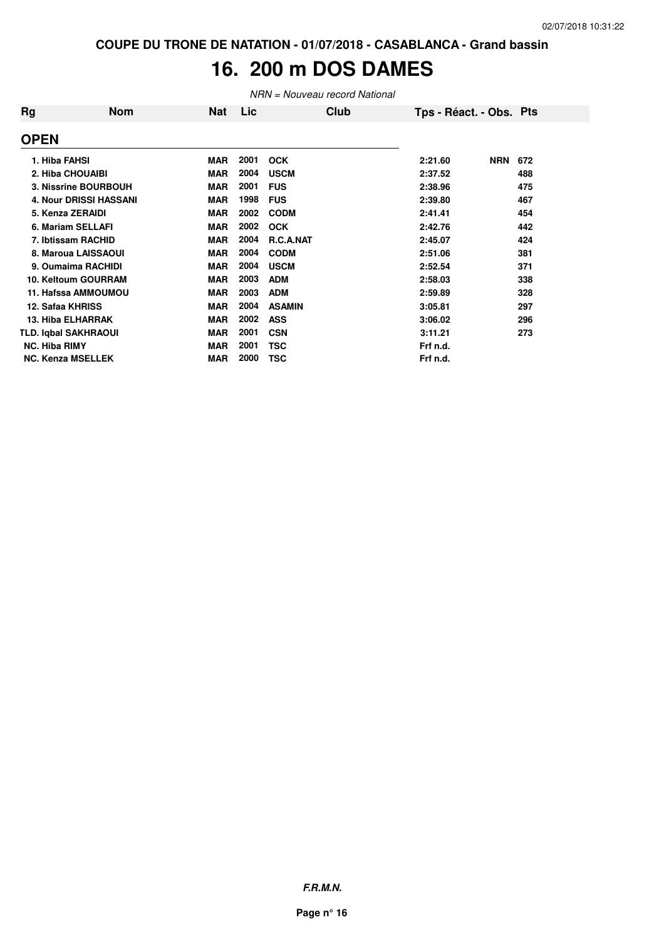# **16. 200 m DOS DAMES**

NRN = Nouveau record National

| Rg                   | Nom                           | Nat        | Lic  | Club             | Tps - Réact. - Obs. Pts |            |     |  |
|----------------------|-------------------------------|------------|------|------------------|-------------------------|------------|-----|--|
| <b>OPEN</b>          |                               |            |      |                  |                         |            |     |  |
| 1. Hiba FAHSI        |                               | <b>MAR</b> | 2001 | <b>OCK</b>       | 2:21.60                 | <b>NRN</b> | 672 |  |
|                      | 2. Hiba CHOUAIBI              | <b>MAR</b> | 2004 | <b>USCM</b>      | 2:37.52                 |            | 488 |  |
|                      | 3. Nissrine BOURBOUH          | <b>MAR</b> | 2001 | <b>FUS</b>       | 2:38.96                 |            | 475 |  |
|                      | <b>4. Nour DRISSI HASSANI</b> | <b>MAR</b> | 1998 | <b>FUS</b>       | 2:39.80                 |            | 467 |  |
|                      | 5. Kenza ZERAIDI              | <b>MAR</b> | 2002 | <b>CODM</b>      | 2:41.41                 |            | 454 |  |
|                      | 6. Mariam SELLAFI             | <b>MAR</b> | 2002 | <b>OCK</b>       | 2:42.76                 |            | 442 |  |
|                      | 7. Ibtissam RACHID            | <b>MAR</b> | 2004 | <b>R.C.A.NAT</b> | 2:45.07                 |            | 424 |  |
|                      | 8. Maroua LAISSAOUI           | <b>MAR</b> | 2004 | <b>CODM</b>      | 2:51.06                 |            | 381 |  |
|                      | 9. Oumaima RACHIDI            | <b>MAR</b> | 2004 | <b>USCM</b>      | 2:52.54                 |            | 371 |  |
|                      | 10. Keltoum GOURRAM           | <b>MAR</b> | 2003 | <b>ADM</b>       | 2:58.03                 |            | 338 |  |
|                      | 11. Hafssa AMMOUMOU           | <b>MAR</b> | 2003 | <b>ADM</b>       | 2:59.89                 |            | 328 |  |
|                      | 12. Safaa KHRISS              | <b>MAR</b> | 2004 | <b>ASAMIN</b>    | 3:05.81                 |            | 297 |  |
|                      | 13. Hiba ELHARRAK             | <b>MAR</b> | 2002 | <b>ASS</b>       | 3:06.02                 |            | 296 |  |
|                      | <b>TLD. Iqbal SAKHRAOUI</b>   | <b>MAR</b> | 2001 | <b>CSN</b>       | 3:11.21                 |            | 273 |  |
| <b>NC. Hiba RIMY</b> |                               | <b>MAR</b> | 2001 | TSC              | Frf n.d.                |            |     |  |
|                      | <b>NC. Kenza MSELLEK</b>      | <b>MAR</b> | 2000 | TSC              | Frf n.d.                |            |     |  |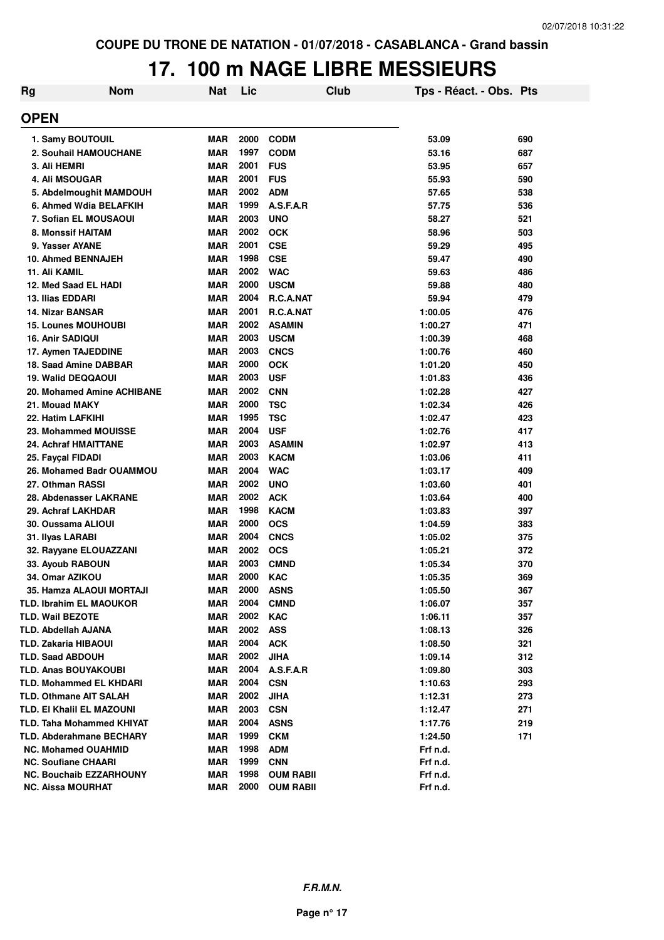# **17. 100 m NAGE LIBRE MESSIEURS**

| <b>Rg</b> | <b>Nom</b>                       | <b>Nat</b> | Lic  | Club             | Tps - Réact. - Obs. Pts |     |
|-----------|----------------------------------|------------|------|------------------|-------------------------|-----|
|           | <b>OPEN</b>                      |            |      |                  |                         |     |
|           | 1. Samy BOUTOUIL                 | MAR        | 2000 | <b>CODM</b>      | 53.09                   | 690 |
|           | 2. Souhail HAMOUCHANE            | <b>MAR</b> | 1997 | <b>CODM</b>      | 53.16                   | 687 |
|           | 3. Ali HEMRI                     | <b>MAR</b> | 2001 | <b>FUS</b>       | 53.95                   | 657 |
|           | <b>4. Ali MSOUGAR</b>            | <b>MAR</b> | 2001 | <b>FUS</b>       | 55.93                   | 590 |
|           | 5. Abdelmoughit MAMDOUH          | <b>MAR</b> | 2002 | <b>ADM</b>       | 57.65                   | 538 |
|           | 6. Ahmed Wdia BELAFKIH           | <b>MAR</b> | 1999 | A.S.F.A.R        | 57.75                   | 536 |
|           | 7. Sofian EL MOUSAOUI            | <b>MAR</b> | 2003 | <b>UNO</b>       | 58.27                   | 521 |
|           | <b>8. Monssif HAITAM</b>         | <b>MAR</b> | 2002 | <b>OCK</b>       | 58.96                   | 503 |
|           | 9. Yasser AYANE                  | <b>MAR</b> | 2001 | <b>CSE</b>       | 59.29                   | 495 |
|           | 10. Ahmed BENNAJEH               | <b>MAR</b> | 1998 | <b>CSE</b>       | 59.47                   | 490 |
|           | 11. Ali KAMIL                    | <b>MAR</b> | 2002 | <b>WAC</b>       | 59.63                   | 486 |
|           | 12. Med Saad EL HADI             | <b>MAR</b> | 2000 | <b>USCM</b>      | 59.88                   | 480 |
|           | <b>13. Ilias EDDARI</b>          | <b>MAR</b> | 2004 | R.C.A.NAT        | 59.94                   | 479 |
|           | <b>14. Nizar BANSAR</b>          | <b>MAR</b> | 2001 | R.C.A.NAT        | 1:00.05                 | 476 |
|           | <b>15. Lounes MOUHOUBI</b>       | <b>MAR</b> | 2002 | <b>ASAMIN</b>    | 1:00.27                 | 471 |
|           | 16. Anir SADIQUI                 | <b>MAR</b> | 2003 | <b>USCM</b>      | 1:00.39                 | 468 |
|           | 17. Aymen TAJEDDINE              | <b>MAR</b> | 2003 | <b>CNCS</b>      | 1:00.76                 | 460 |
|           | 18. Saad Amine DABBAR            | <b>MAR</b> | 2000 | <b>OCK</b>       | 1:01.20                 | 450 |
|           | 19. Walid DEQQAOUI               | <b>MAR</b> | 2003 | <b>USF</b>       | 1:01.83                 | 436 |
|           | 20. Mohamed Amine ACHIBANE       | <b>MAR</b> | 2002 | <b>CNN</b>       | 1:02.28                 | 427 |
|           | 21. Mouad MAKY                   | <b>MAR</b> | 2000 | <b>TSC</b>       | 1:02.34                 | 426 |
|           | 22. Hatim LAFKIHI                | <b>MAR</b> | 1995 | <b>TSC</b>       | 1:02.47                 | 423 |
|           | 23. Mohammed MOUISSE             | <b>MAR</b> | 2004 | <b>USF</b>       | 1:02.76                 | 417 |
|           | <b>24. Achraf HMAITTANE</b>      | <b>MAR</b> | 2003 | <b>ASAMIN</b>    | 1:02.97                 | 413 |
|           | 25. Fayçal FIDADI                | <b>MAR</b> | 2003 | <b>KACM</b>      | 1:03.06                 | 411 |
|           | 26. Mohamed Badr OUAMMOU         | <b>MAR</b> | 2004 | <b>WAC</b>       | 1:03.17                 | 409 |
|           | 27. Othman RASSI                 | <b>MAR</b> | 2002 | <b>UNO</b>       | 1:03.60                 | 401 |
|           | 28. Abdenasser LAKRANE           | <b>MAR</b> | 2002 | <b>ACK</b>       | 1:03.64                 | 400 |
|           | 29. Achraf LAKHDAR               | <b>MAR</b> | 1998 | <b>KACM</b>      | 1:03.83                 | 397 |
|           | 30. Oussama ALIOUI               | MAR        | 2000 | <b>OCS</b>       | 1:04.59                 | 383 |
|           | 31. Ilyas LARABI                 | <b>MAR</b> | 2004 | <b>CNCS</b>      | 1:05.02                 | 375 |
|           | 32. Rayyane ELOUAZZANI           | MAR        | 2002 | <b>OCS</b>       | 1:05.21                 | 372 |
|           | 33. Ayoub RABOUN                 | <b>MAR</b> | 2003 | <b>CMND</b>      | 1:05.34                 | 370 |
|           | 34. Omar AZIKOU                  | <b>MAR</b> | 2000 | <b>KAC</b>       | 1:05.35                 | 369 |
|           | 35. Hamza ALAOUI MORTAJI         | MAR        | 2000 | <b>ASNS</b>      | 1:05.50                 | 367 |
|           | <b>TLD. Ibrahim EL MAOUKOR</b>   | <b>MAR</b> | 2004 | <b>CMND</b>      | 1:06.07                 | 357 |
|           | <b>TLD. Wail BEZOTE</b>          | MAR        | 2002 | <b>KAC</b>       | 1:06.11                 | 357 |
|           | <b>TLD. Abdellah AJANA</b>       | MAR        | 2002 | <b>ASS</b>       | 1:08.13                 | 326 |
|           | TLD. Zakaria HIBAOUI             | <b>MAR</b> | 2004 | <b>ACK</b>       | 1:08.50                 | 321 |
|           | <b>TLD. Saad ABDOUH</b>          | MAR        | 2002 | <b>JIHA</b>      | 1:09.14                 | 312 |
|           | <b>TLD. Anas BOUYAKOUBI</b>      | MAR        | 2004 | A.S.F.A.R        | 1:09.80                 | 303 |
|           | <b>TLD. Mohammed EL KHDARI</b>   | <b>MAR</b> | 2004 | <b>CSN</b>       | 1:10.63                 | 293 |
|           | <b>TLD. Othmane AIT SALAH</b>    | <b>MAR</b> | 2002 | <b>JIHA</b>      | 1:12.31                 | 273 |
|           | TLD. EI Khalil EL MAZOUNI        | MAR        | 2003 | <b>CSN</b>       | 1:12.47                 | 271 |
|           | <b>TLD. Taha Mohammed KHIYAT</b> | MAR        | 2004 | <b>ASNS</b>      | 1:17.76                 | 219 |
|           | <b>TLD. Abderahmane BECHARY</b>  | <b>MAR</b> | 1999 | <b>CKM</b>       | 1:24.50                 | 171 |
|           | <b>NC. Mohamed OUAHMID</b>       | <b>MAR</b> | 1998 | <b>ADM</b>       | Frf n.d.                |     |
|           | <b>NC. Soufiane CHAARI</b>       | MAR        | 1999 | <b>CNN</b>       | Frf n.d.                |     |
|           | <b>NC. Bouchaib EZZARHOUNY</b>   | <b>MAR</b> | 1998 | <b>OUM RABII</b> | Frf n.d.                |     |
|           | <b>NC. Aissa MOURHAT</b>         | <b>MAR</b> | 2000 | <b>OUM RABII</b> | Frf n.d.                |     |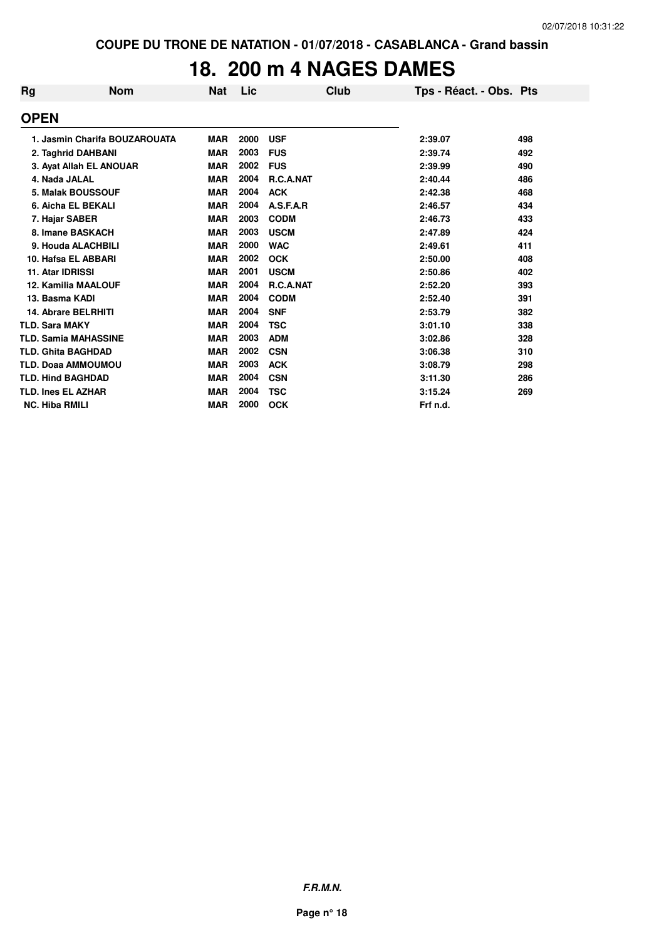#### **18. 200 m 4 NAGES DAMES**

| Rg | <b>Nom</b>                    | <b>Nat</b> | Lic  |                  | Club | Tps - Réact. - Obs. Pts |     |
|----|-------------------------------|------------|------|------------------|------|-------------------------|-----|
|    | <b>OPEN</b>                   |            |      |                  |      |                         |     |
|    | 1. Jasmin Charifa BOUZAROUATA | <b>MAR</b> | 2000 | <b>USF</b>       |      | 2:39.07                 | 498 |
|    | 2. Taghrid DAHBANI            | <b>MAR</b> | 2003 | <b>FUS</b>       |      | 2:39.74                 | 492 |
|    | 3. Ayat Allah EL ANOUAR       | <b>MAR</b> | 2002 | <b>FUS</b>       |      | 2:39.99                 | 490 |
|    | 4. Nada JALAL                 | <b>MAR</b> | 2004 | R.C.A.NAT        |      | 2:40.44                 | 486 |
|    | <b>5. Malak BOUSSOUF</b>      | <b>MAR</b> | 2004 | <b>ACK</b>       |      | 2:42.38                 | 468 |
|    | 6. Aicha EL BEKALI            | <b>MAR</b> | 2004 | A.S.F.A.R        |      | 2:46.57                 | 434 |
|    | 7. Hajar SABER                | <b>MAR</b> | 2003 | <b>CODM</b>      |      | 2:46.73                 | 433 |
|    | 8. Imane BASKACH              | <b>MAR</b> | 2003 | <b>USCM</b>      |      | 2:47.89                 | 424 |
|    | 9. Houda ALACHBILI            | <b>MAR</b> | 2000 | <b>WAC</b>       |      | 2:49.61                 | 411 |
|    | 10. Hafsa EL ABBARI           | <b>MAR</b> | 2002 | <b>OCK</b>       |      | 2:50.00                 | 408 |
|    | 11. Atar IDRISSI              | <b>MAR</b> | 2001 | <b>USCM</b>      |      | 2:50.86                 | 402 |
|    | <b>12. Kamilia MAALOUF</b>    | <b>MAR</b> | 2004 | <b>R.C.A.NAT</b> |      | 2:52.20                 | 393 |
|    | 13. Basma KADI                | <b>MAR</b> | 2004 | <b>CODM</b>      |      | 2:52.40                 | 391 |
|    | 14. Abrare BELRHITI           | <b>MAR</b> | 2004 | <b>SNF</b>       |      | 2:53.79                 | 382 |
|    | <b>TLD. Sara MAKY</b>         | <b>MAR</b> | 2004 | <b>TSC</b>       |      | 3:01.10                 | 338 |
|    | <b>TLD. Samia MAHASSINE</b>   | <b>MAR</b> | 2003 | <b>ADM</b>       |      | 3:02.86                 | 328 |
|    | <b>TLD. Ghita BAGHDAD</b>     | <b>MAR</b> | 2002 | <b>CSN</b>       |      | 3:06.38                 | 310 |
|    | <b>TLD. Doaa AMMOUMOU</b>     | <b>MAR</b> | 2003 | <b>ACK</b>       |      | 3:08.79                 | 298 |
|    | <b>TLD. Hind BAGHDAD</b>      | <b>MAR</b> | 2004 | <b>CSN</b>       |      | 3:11.30                 | 286 |
|    | <b>TLD. Ines EL AZHAR</b>     | <b>MAR</b> | 2004 | <b>TSC</b>       |      | 3:15.24                 | 269 |
|    | <b>NC. Hiba RMILI</b>         | <b>MAR</b> | 2000 | <b>OCK</b>       |      | Frf n.d.                |     |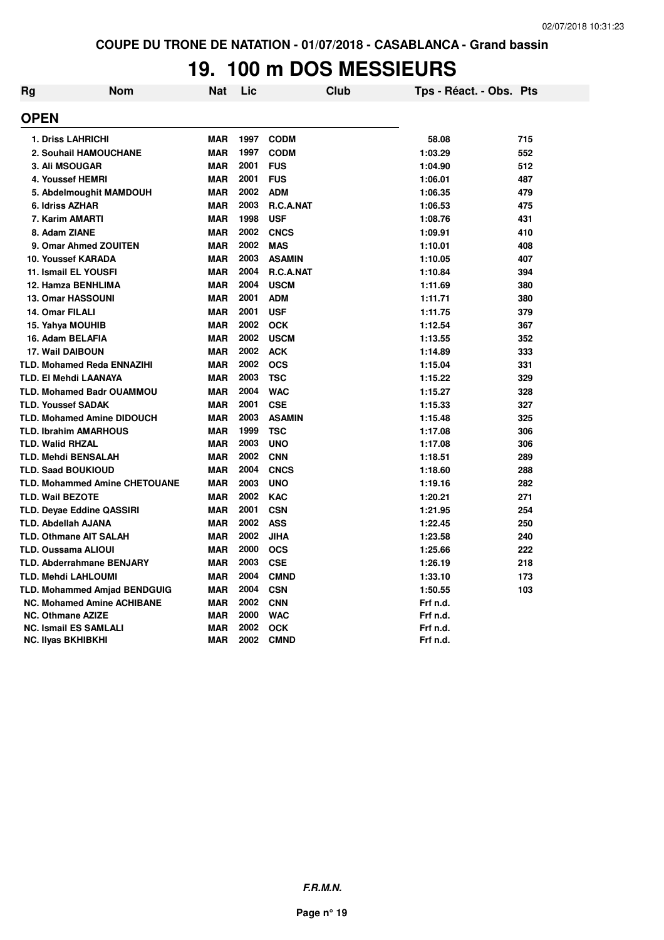# **19. 100 m DOS MESSIEURS**

| <b>Rg</b>   | <b>Nom</b>                           | <b>Nat</b> | Lic  | <b>Club</b>   | Tps - Réact. - Obs. Pts |     |
|-------------|--------------------------------------|------------|------|---------------|-------------------------|-----|
| <b>OPEN</b> |                                      |            |      |               |                         |     |
|             | <b>1. Driss LAHRICHI</b>             | <b>MAR</b> | 1997 | <b>CODM</b>   | 58.08                   | 715 |
|             | <b>2. Souhail HAMOUCHANE</b>         | <b>MAR</b> | 1997 | <b>CODM</b>   | 1:03.29                 | 552 |
|             | 3. Ali MSOUGAR                       | <b>MAR</b> | 2001 | <b>FUS</b>    | 1:04.90                 | 512 |
|             | 4. Youssef HEMRI                     | <b>MAR</b> | 2001 | <b>FUS</b>    | 1:06.01                 | 487 |
|             | 5. Abdelmoughit MAMDOUH              | <b>MAR</b> | 2002 | <b>ADM</b>    | 1:06.35                 | 479 |
|             | 6. Idriss AZHAR                      | <b>MAR</b> | 2003 | R.C.A.NAT     | 1:06.53                 | 475 |
|             | 7. Karim AMARTI                      | <b>MAR</b> | 1998 | <b>USF</b>    | 1:08.76                 | 431 |
|             | 8. Adam ZIANE                        | <b>MAR</b> | 2002 | <b>CNCS</b>   | 1:09.91                 | 410 |
|             | 9. Omar Ahmed ZOUITEN                | <b>MAR</b> | 2002 | <b>MAS</b>    | 1:10.01                 | 408 |
|             | 10. Youssef KARADA                   | <b>MAR</b> | 2003 | <b>ASAMIN</b> | 1:10.05                 | 407 |
|             | 11. Ismail EL YOUSFI                 | <b>MAR</b> | 2004 | R.C.A.NAT     | 1:10.84                 | 394 |
|             | 12. Hamza BENHLIMA                   | <b>MAR</b> | 2004 | <b>USCM</b>   | 1:11.69                 | 380 |
|             | <b>13. Omar HASSOUNI</b>             | <b>MAR</b> | 2001 | <b>ADM</b>    | 1:11.71                 | 380 |
|             | 14. Omar FILALI                      | <b>MAR</b> | 2001 | <b>USF</b>    | 1:11.75                 | 379 |
|             | 15. Yahya MOUHIB                     | <b>MAR</b> | 2002 | <b>OCK</b>    | 1:12.54                 | 367 |
|             | 16. Adam BELAFIA                     | <b>MAR</b> | 2002 | <b>USCM</b>   | 1:13.55                 | 352 |
|             | <b>17. Wail DAIBOUN</b>              | <b>MAR</b> | 2002 | <b>ACK</b>    | 1:14.89                 | 333 |
|             | <b>TLD. Mohamed Reda ENNAZIHI</b>    | <b>MAR</b> | 2002 | <b>OCS</b>    | 1:15.04                 | 331 |
|             | <b>TLD. EI Mehdi LAANAYA</b>         | <b>MAR</b> | 2003 | <b>TSC</b>    | 1:15.22                 | 329 |
|             | <b>TLD. Mohamed Badr OUAMMOU</b>     | <b>MAR</b> | 2004 | <b>WAC</b>    | 1:15.27                 | 328 |
|             | <b>TLD. Youssef SADAK</b>            | <b>MAR</b> | 2001 | <b>CSE</b>    | 1:15.33                 | 327 |
|             | <b>TLD. Mohamed Amine DIDOUCH</b>    | <b>MAR</b> | 2003 | <b>ASAMIN</b> | 1:15.48                 | 325 |
|             | <b>TLD. Ibrahim AMARHOUS</b>         | <b>MAR</b> | 1999 | <b>TSC</b>    | 1:17.08                 | 306 |
|             | <b>TLD. Walid RHZAL</b>              | <b>MAR</b> | 2003 | <b>UNO</b>    | 1:17.08                 | 306 |
|             | TLD. Mehdi BENSALAH                  | <b>MAR</b> | 2002 | <b>CNN</b>    | 1:18.51                 | 289 |
|             | <b>TLD. Saad BOUKIOUD</b>            | <b>MAR</b> | 2004 | <b>CNCS</b>   | 1:18.60                 | 288 |
|             | <b>TLD. Mohammed Amine CHETOUANE</b> | <b>MAR</b> | 2003 | <b>UNO</b>    | 1:19.16                 | 282 |
|             | <b>TLD. Wail BEZOTE</b>              | <b>MAR</b> | 2002 | <b>KAC</b>    | 1:20.21                 | 271 |
|             | <b>TLD. Deyae Eddine QASSIRI</b>     | <b>MAR</b> | 2001 | <b>CSN</b>    | 1:21.95                 | 254 |
|             | <b>TLD. Abdellah AJANA</b>           | <b>MAR</b> | 2002 | <b>ASS</b>    | 1:22.45                 | 250 |
|             | <b>TLD. Othmane AIT SALAH</b>        | <b>MAR</b> | 2002 | <b>JIHA</b>   | 1:23.58                 | 240 |
|             | <b>TLD. Oussama ALIOUI</b>           | <b>MAR</b> | 2000 | <b>OCS</b>    | 1:25.66                 | 222 |
|             | <b>TLD. Abderrahmane BENJARY</b>     | <b>MAR</b> | 2003 | <b>CSE</b>    | 1:26.19                 | 218 |
|             | <b>TLD. Mehdi LAHLOUMI</b>           | <b>MAR</b> | 2004 | <b>CMND</b>   | 1:33.10                 | 173 |
|             | <b>TLD. Mohammed Amjad BENDGUIG</b>  | <b>MAR</b> | 2004 | <b>CSN</b>    | 1:50.55                 | 103 |
|             | <b>NC. Mohamed Amine ACHIBANE</b>    | <b>MAR</b> | 2002 | <b>CNN</b>    | Frf n.d.                |     |
|             | <b>NC. Othmane AZIZE</b>             | <b>MAR</b> | 2000 | <b>WAC</b>    | Frf n.d.                |     |
|             | <b>NC. Ismail ES SAMLALI</b>         | <b>MAR</b> | 2002 | <b>OCK</b>    | Frf n.d.                |     |
|             | <b>NC. Ilyas BKHIBKHI</b>            | <b>MAR</b> | 2002 | <b>CMND</b>   | Frf n.d.                |     |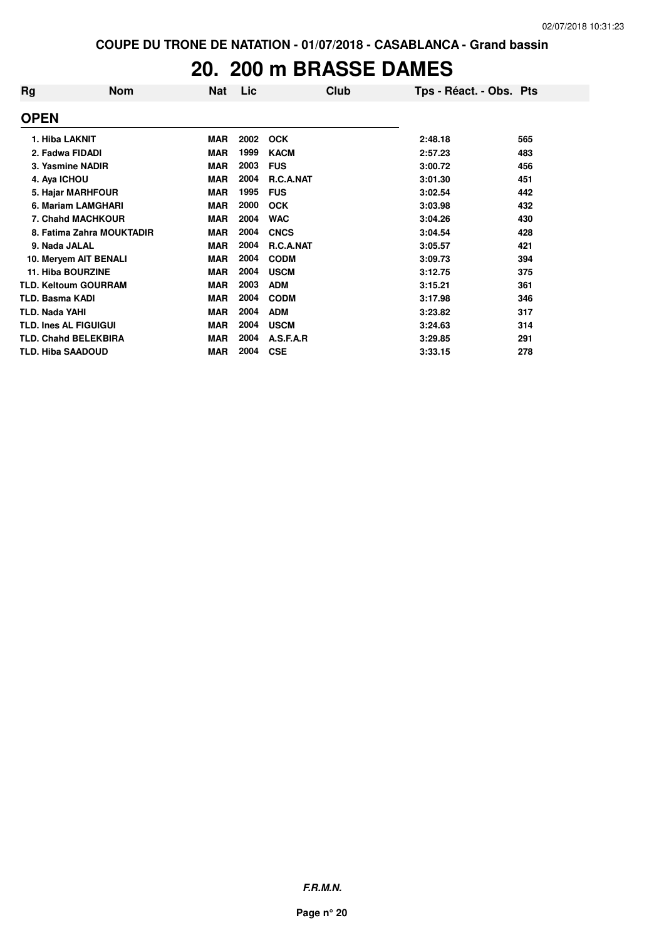### **20. 200 m BRASSE DAMES**

| Rg                       | <b>Nom</b>                   | Nat        | Lic  | <b>Club</b>      | Tps - Réact. - Obs. Pts |     |
|--------------------------|------------------------------|------------|------|------------------|-------------------------|-----|
| <b>OPEN</b>              |                              |            |      |                  |                         |     |
| 1. Hiba LAKNIT           |                              | <b>MAR</b> | 2002 | <b>OCK</b>       | 2:48.18                 | 565 |
| 2. Fadwa FIDADI          |                              | <b>MAR</b> | 1999 | <b>KACM</b>      | 2:57.23                 | 483 |
|                          | 3. Yasmine NADIR             | <b>MAR</b> | 2003 | <b>FUS</b>       | 3:00.72                 | 456 |
| 4. Aya ICHOU             |                              | <b>MAR</b> | 2004 | <b>R.C.A.NAT</b> | 3:01.30                 | 451 |
|                          | 5. Hajar MARHFOUR            | <b>MAR</b> | 1995 | <b>FUS</b>       | 3:02.54                 | 442 |
|                          | 6. Mariam LAMGHARI           | <b>MAR</b> | 2000 | <b>OCK</b>       | 3:03.98                 | 432 |
|                          | <b>7. Chahd MACHKOUR</b>     | <b>MAR</b> | 2004 | <b>WAC</b>       | 3:04.26                 | 430 |
|                          | 8. Fatima Zahra MOUKTADIR    | <b>MAR</b> | 2004 | <b>CNCS</b>      | 3:04.54                 | 428 |
| 9. Nada JALAL            |                              | <b>MAR</b> | 2004 | R.C.A.NAT        | 3:05.57                 | 421 |
|                          | 10. Meryem AIT BENALI        | <b>MAR</b> | 2004 | <b>CODM</b>      | 3:09.73                 | 394 |
|                          | <b>11. Hiba BOURZINE</b>     | <b>MAR</b> | 2004 | <b>USCM</b>      | 3:12.75                 | 375 |
|                          | <b>TLD. Keltoum GOURRAM</b>  | <b>MAR</b> | 2003 | <b>ADM</b>       | 3:15.21                 | 361 |
| <b>TLD. Basma KADI</b>   |                              | <b>MAR</b> | 2004 | <b>CODM</b>      | 3:17.98                 | 346 |
| <b>TLD. Nada YAHI</b>    |                              | <b>MAR</b> | 2004 | <b>ADM</b>       | 3:23.82                 | 317 |
|                          | <b>TLD. Ines AL FIGUIGUI</b> | <b>MAR</b> | 2004 | <b>USCM</b>      | 3:24.63                 | 314 |
|                          | <b>TLD. Chahd BELEKBIRA</b>  | <b>MAR</b> | 2004 | A.S.F.A.R        | 3:29.85                 | 291 |
| <b>TLD. Hiba SAADOUD</b> |                              | <b>MAR</b> | 2004 | <b>CSE</b>       | 3:33.15                 | 278 |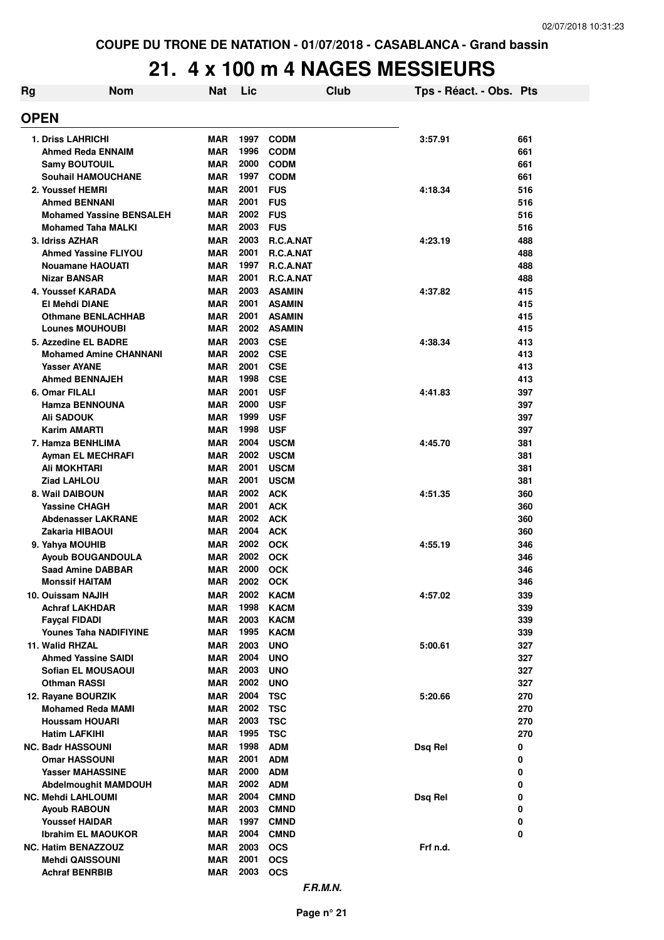### **21. 4 x 100 m 4 NAGES MESSIEURS**

| Rg | <b>Nom</b>                                     | <b>Nat</b>               | Lic          | Club                       | Tps - Réact. - Obs. Pts |            |
|----|------------------------------------------------|--------------------------|--------------|----------------------------|-------------------------|------------|
|    | <b>OPEN</b>                                    |                          |              |                            |                         |            |
|    | <b>1. Driss LAHRICHI</b>                       | <b>MAR</b>               | 1997         | <b>CODM</b>                | 3:57.91                 | 661        |
|    | Ahmed Reda ENNAIM                              | <b>MAR</b>               | 1996         | <b>CODM</b>                |                         | 661        |
|    | <b>Samy BOUTOUIL</b>                           | <b>MAR</b>               | 2000         | <b>CODM</b>                |                         | 661        |
|    | <b>Souhail HAMOUCHANE</b>                      | <b>MAR</b>               | 1997         | <b>CODM</b>                |                         | 661        |
|    | 2. Youssef HEMRI                               | <b>MAR</b>               | 2001         | <b>FUS</b>                 | 4:18.34                 | 516        |
|    | <b>Ahmed BENNANI</b>                           | <b>MAR</b>               | 2001         | <b>FUS</b>                 |                         | 516        |
|    | <b>Mohamed Yassine BENSALEH</b>                | <b>MAR</b>               | 2002         | <b>FUS</b>                 |                         | 516        |
|    | <b>Mohamed Taha MALKI</b>                      | <b>MAR</b>               | 2003         | <b>FUS</b>                 |                         | 516        |
|    | 3. Idriss AZHAR                                | <b>MAR</b>               | 2003         | R.C.A.NAT                  | 4:23.19                 | 488        |
|    | <b>Ahmed Yassine FLIYOU</b>                    | MAR                      | 2001         | R.C.A.NAT                  |                         | 488        |
|    | <b>Nouamane HAOUATI</b><br><b>Nizar BANSAR</b> | <b>MAR</b><br><b>MAR</b> | 1997<br>2001 | R.C.A.NAT                  |                         | 488        |
|    | 4. Youssef KARADA                              | <b>MAR</b>               | 2003         | R.C.A.NAT<br><b>ASAMIN</b> | 4:37.82                 | 488<br>415 |
|    | <b>El Mehdi DIANE</b>                          | MAR                      | 2001         | <b>ASAMIN</b>              |                         | 415        |
|    | <b>Othmane BENLACHHAB</b>                      | <b>MAR</b>               | 2001         | <b>ASAMIN</b>              |                         | 415        |
|    | <b>Lounes MOUHOUBI</b>                         | <b>MAR</b>               | 2002         | <b>ASAMIN</b>              |                         | 415        |
|    | 5. Azzedine EL BADRE                           | <b>MAR</b>               | 2003         | <b>CSE</b>                 | 4:38.34                 | 413        |
|    | <b>Mohamed Amine CHANNANI</b>                  | <b>MAR</b>               | 2002         | <b>CSE</b>                 |                         | 413        |
|    | <b>Yasser AYANE</b>                            | <b>MAR</b>               | 2001         | <b>CSE</b>                 |                         | 413        |
|    | <b>Ahmed BENNAJEH</b>                          | <b>MAR</b>               | 1998         | <b>CSE</b>                 |                         | 413        |
|    | 6. Omar FILALI                                 | MAR                      | 2001         | <b>USF</b>                 | 4:41.83                 | 397        |
|    | Hamza BENNOUNA                                 | <b>MAR</b>               | 2000         | <b>USF</b>                 |                         | 397        |
|    | Ali SADOUK                                     | MAR                      | 1999         | <b>USF</b>                 |                         | 397        |
|    | <b>Karim AMARTI</b>                            | <b>MAR</b>               | 1998         | <b>USF</b>                 |                         | 397        |
|    | 7. Hamza BENHLIMA                              | <b>MAR</b>               | 2004         | <b>USCM</b>                | 4:45.70                 | 381        |
|    | Ayman EL MECHRAFI                              | MAR                      | 2002         | <b>USCM</b>                |                         | 381        |
|    | Ali MOKHTARI                                   | <b>MAR</b>               | 2001<br>2001 | <b>USCM</b>                |                         | 381        |
|    | Ziad LAHLOU<br>8. Wail DAIBOUN                 | <b>MAR</b><br><b>MAR</b> | 2002         | <b>USCM</b><br><b>ACK</b>  | 4:51.35                 | 381<br>360 |
|    | <b>Yassine CHAGH</b>                           | MAR                      | 2001         | <b>ACK</b>                 |                         | 360        |
|    | <b>Abdenasser LAKRANE</b>                      | <b>MAR</b>               | 2002         | <b>ACK</b>                 |                         | 360        |
|    | Zakaria HIBAOUI                                | MAR                      | 2004         | <b>ACK</b>                 |                         | 360        |
|    | 9. Yahya MOUHIB                                | MAR                      | 2002         | <b>OCK</b>                 | 4:55.19                 | 346        |
|    | <b>Ayoub BOUGANDOULA</b>                       | <b>MAR</b>               | 2002         | <b>OCK</b>                 |                         | 346        |
|    | <b>Saad Amine DABBAR</b>                       | MAR                      | 2000         | <b>OCK</b>                 |                         | 346        |
|    | <b>Monssif HAITAM</b>                          | MAR                      | 2002         | <b>OCK</b>                 |                         | 346        |
|    | 10. Ouissam NAJIH                              | MAR                      | 2002         | <b>KACM</b>                | 4:57.02                 | 339        |
|    | <b>Achraf LAKHDAR</b>                          | MAR                      | 1998         | <b>KACM</b>                |                         | 339        |
|    | <b>Faycal FIDADI</b>                           | MAR                      | 2003         | <b>KACM</b>                |                         | 339        |
|    | <b>Younes Taha NADIFIYINE</b>                  | MAR                      | 1995         | <b>KACM</b>                |                         | 339        |
|    | 11. Walid RHZAL                                | MAR                      | 2003         | <b>UNO</b>                 | 5:00.61                 | 327        |
|    | <b>Ahmed Yassine SAIDI</b>                     | MAR                      | 2004         | <b>UNO</b>                 |                         | 327        |
|    | Sofian EL MOUSAOUI<br>Othman RASSI             | MAR<br>MAR               | 2003<br>2002 | <b>UNO</b><br><b>UNO</b>   |                         | 327<br>327 |
|    | 12. Rayane BOURZIK                             | MAR                      | 2004         | <b>TSC</b>                 | 5:20.66                 | 270        |
|    | <b>Mohamed Reda MAMI</b>                       | MAR                      | 2002         | <b>TSC</b>                 |                         | 270        |
|    | <b>Houssam HOUARI</b>                          | MAR                      | 2003         | <b>TSC</b>                 |                         | 270        |
|    | Hatim LAFKIHI                                  | MAR                      | 1995         | <b>TSC</b>                 |                         | 270        |
|    | <b>NC. Badr HASSOUNI</b>                       | MAR                      | 1998         | <b>ADM</b>                 | Dsg Rel                 | 0          |
|    | <b>Omar HASSOUNI</b>                           | MAR                      | 2001         | <b>ADM</b>                 |                         | 0          |
|    | Yasser MAHASSINE                               | MAR                      | 2000         | <b>ADM</b>                 |                         | 0          |
|    | Abdelmoughit MAMDOUH                           | MAR                      | 2002         | <b>ADM</b>                 |                         | 0          |
|    | <b>NC. Mehdi LAHLOUMI</b>                      | MAR                      | 2004         | <b>CMND</b>                | Dsq Rel                 | 0          |
|    | <b>Ayoub RABOUN</b>                            | MAR                      | 2003         | <b>CMND</b>                |                         | 0          |
|    | <b>Youssef HAIDAR</b>                          | MAR                      | 1997         | <b>CMND</b>                |                         | 0          |
|    | <b>Ibrahim EL MAOUKOR</b>                      | MAR                      | 2004         | <b>CMND</b>                |                         | 0          |
|    | <b>NC. Hatim BENAZZOUZ</b>                     | MAR                      | 2003         | <b>OCS</b>                 | Frf n.d.                |            |
|    | Mehdi QAISSOUNI                                | MAR                      | 2001         | <b>OCS</b>                 |                         |            |
|    | <b>Achraf BENRBIB</b>                          | MAR                      | 2003         | <b>OCS</b>                 |                         |            |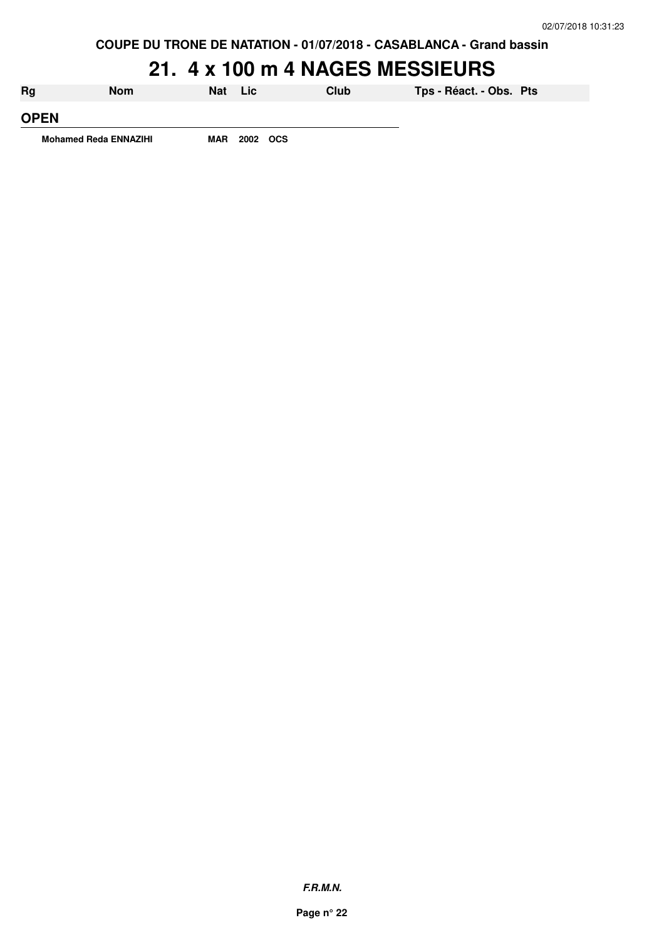## **21. 4 x 100 m 4 NAGES MESSIEURS**

| Rg                           | <b>Nom</b> | Nat Lic |          | Club | Tps - Réact. - Obs. Pts |  |
|------------------------------|------------|---------|----------|------|-------------------------|--|
| <b>OPEN</b>                  |            |         |          |      |                         |  |
| <b>Mohamed Reda ENNAZIHI</b> |            | MAR     | 2002 OCS |      |                         |  |